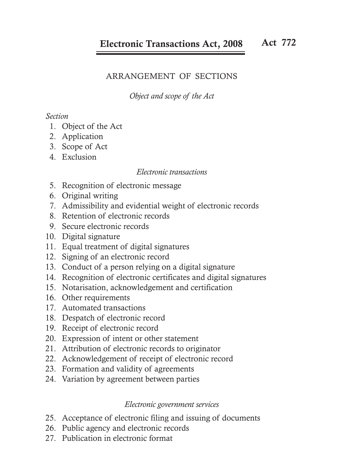### ARRANGEMENT OF SECTIONS

*Object and scope of the Act*

### *Section*

- 1. Object of the Act
- 2. Application
- 3. Scope of Act
- 4. Exclusion

### *Electronic transactions*

- 5. Recognition of electronic message
- 6. Original writing
- 7. Admissibility and evidential weight of electronic records
- 8. Retention of electronic records
- 9. Secure electronic records
- 10. Digital signature
- 11. Equal treatment of digital signatures
- 12. Signing of an electronic record
- 13. Conduct of a person relying on a digital signature
- 14. Recognition of electronic certificates and digital signatures
- 15. Notarisation, acknowledgement and certification
- 16. Other requirements
- 17. Automated transactions
- 18. Despatch of electronic record
- 19. Receipt of electronic record
- 20. Expression of intent or other statement
- 21. Attribution of electronic records to originator
- 22. Acknowledgement of receipt of electronic record
- 23. Formation and validity of agreements
- 24. Variation by agreement between parties

### *Electronic government services*

- 25. Acceptance of electronic filing and issuing of documents
- 1 26. Public agency and electronic records
- 27. Publication in electronic format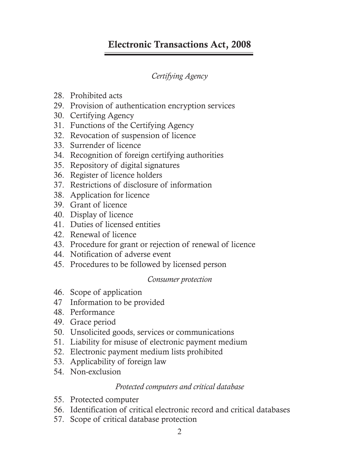### *Electronic Transactions Act, 2008* Electronic Transactions Act, 2008

*Certifying Agency*

- 28. Prohibited acts
- 29. Provision of authentication encryption services
- 30. Certifying Agency
- 31. Functions of the Certifying Agency
- 32. Revocation of suspension of licence
- 33. Surrender of licence
- 34. Recognition of foreign certifying authorities
- 35. Repository of digital signatures
- 36. Register of licence holders
- 37. Restrictions of disclosure of information
- 38. Application for licence
- 39. Grant of licence
- 40. Display of licence
- 41. Duties of licensed entities
- 42. Renewal of licence
- 43. Procedure for grant or rejection of renewal of licence
- 44. Notification of adverse event
- 45. Procedures to be followed by licensed person

### *Consumer protection*

- 46. Scope of application
- 47 Information to be provided
- 48. Performance
- 49. Grace period
- 50. Unsolicited goods, services or communications
- 51. Liability for misuse of electronic payment medium
- 52. Electronic payment medium lists prohibited
- 53. Applicability of foreign law
- 54. Non-exclusion

### *Protected computers and critical database*

- 55. Protected computer
- 56. Identification of critical electronic record and critical databases
- 57. Scope of critical database protection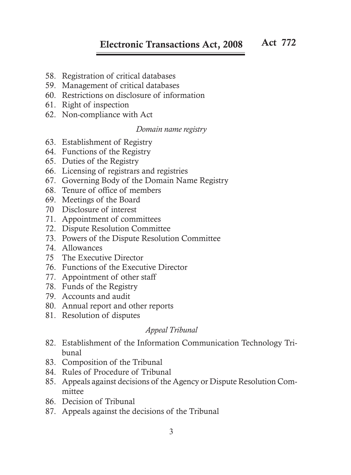## *Electronic Transactions Act, 2008* Act 772 Electronic Transactions Act, 2008

- 58. Registration of critical databases
- 59. Management of critical databases
- 60. Restrictions on disclosure of information
- 61. Right of inspection
- 62. Non-compliance with Act

#### *Domain name registry*

- 63. Establishment of Registry
- 64. Functions of the Registry
- 65. Duties of the Registry
- 66. Licensing of registrars and registries
- 67. Governing Body of the Domain Name Registry
- 68. Tenure of office of members
- 69. Meetings of the Board
- 70 Disclosure of interest
- 71. Appointment of committees
- 72. Dispute Resolution Committee
- 73. Powers of the Dispute Resolution Committee
- 74. Allowances
- 75 The Executive Director
- 76. Functions of the Executive Director
- 77. Appointment of other staff
- 78. Funds of the Registry
- 79. Accounts and audit
- 80. Annual report and other reports
- 81. Resolution of disputes

#### *Appeal Tribunal*

- 82. Establishment of the Information Communication Technology Tribunal
- 83. Composition of the Tribunal
- 84. Rules of Procedure of Tribunal
- 85. Appeals against decisions of the Agency or Dispute Resolution Committee
- 86. Decision of Tribunal
- 87. Appeals against the decisions of the Tribunal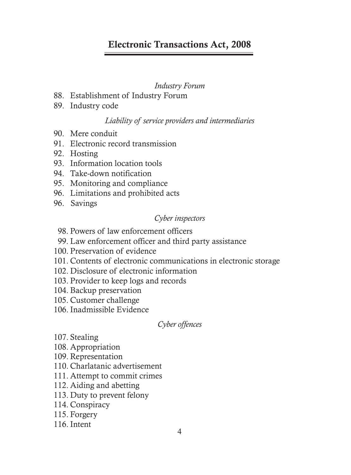### *Electronic Transactions Act, 2008* Electronic Transactions Act, 2008

#### *Industry Forum*

- 88. Establishment of Industry Forum
- 89. Industry code

#### *Liability of service providers and intermediaries*

- 90. Mere conduit
- 91. Electronic record transmission
- 92. Hosting
- 93. Information location tools
- 94. Take-down notification
- 95. Monitoring and compliance
- 96. Limitations and prohibited acts
- 96. Savings

#### *Cyber inspectors*

- 98. Powers of law enforcement officers
- 99. Law enforcement officer and third party assistance
- 100. Preservation of evidence
- 101. Contents of electronic communications in electronic storage
- 102. Disclosure of electronic information
- 103. Provider to keep logs and records
- 104. Backup preservation
- 105. Customer challenge
- 106. Inadmissible Evidence

#### *Cyber offences*

- 107. Stealing
- 108. Appropriation
- 109. Representation
- 110. Charlatanic advertisement
- 111. Attempt to commit crimes
- 112. Aiding and abetting
- 113. Duty to prevent felony
- 114. Conspiracy
- 115. Forgery
- 116. Intent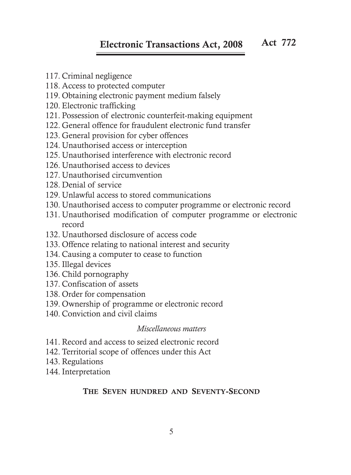- 117. Criminal negligence
- 118. Access to protected computer
- 119. Obtaining electronic payment medium falsely
- 120. Electronic trafficking
- 121. Possession of electronic counterfeit-making equipment
- 122. General offence for fraudulent electronic fund transfer
- 123. General provision for cyber offences
- 124. Unauthorised access or interception
- 125. Unauthorised interference with electronic record
- 126. Unauthorised access to devices
- 127. Unauthorised circumvention
- 128. Denial of service
- 129. Unlawful access to stored communications
- 130. Unauthorised access to computer programme or electronic record
- 131. Unauthorised modification of computer programme or electronic record
- 132. Unauthorsed disclosure of access code
- 133. Offence relating to national interest and security
- 134. Causing a computer to cease to function
- 135. Illegal devices
- 136. Child pornography
- 137. Confiscation of assets
- 138. Order for compensation
- 139. Ownership of programme or electronic record
- 140. Conviction and civil claims

#### *Miscellaneous matters*

- 141. Record and access to seized electronic record
- 142. Territorial scope of offences under this Act
- 143. Regulations
- 144. Interpretation

#### THE SEVEN HUNDRED AND SEVENTY-SECOND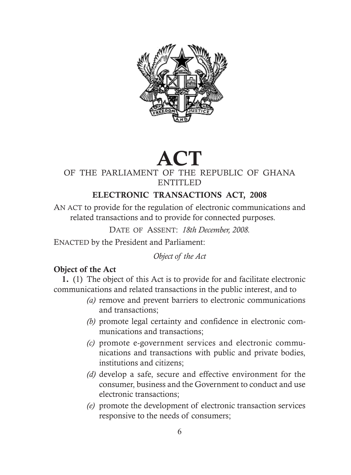

# ACT

### OF THE PARLIAMENT OF THE REPUBLIC OF GHANA ENTITLED

### ELECTRONIC TRANSACTIONS ACT, 2008

AN ACT to provide for the regulation of electronic communications and related transactions and to provide for connected purposes.

### DATE OF ASSENT: *18th December, 2008.*

ENACTED by the President and Parliament:

*Object of the Act*

### Object of the Act

1. (1) The object of this Act is to provide for and facilitate electronic communications and related transactions in the public interest, and to

- *(a)* remove and prevent barriers to electronic communications and transactions;
- *(b)* promote legal certainty and confidence in electronic communications and transactions;
- *(c)* promote e-government services and electronic communications and transactions with public and private bodies, institutions and citizens;
- *(d)* develop a safe, secure and effective environment for the consumer, business and the Government to conduct and use electronic transactions;
- *(e)* promote the development of electronic transaction services responsive to the needs of consumers;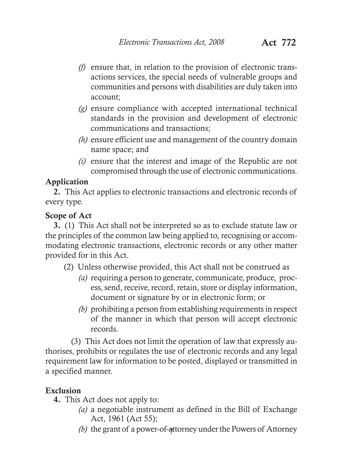- *(f)* ensure that, in relation to the provision of electronic transactions services, the special needs of vulnerable groups and communities and persons with disabilities are duly taken into account;
- *(g)* ensure compliance with accepted international technical standards in the provision and development of electronic communications and transactions;
- *(h)* ensure efficient use and management of the country domain name space; and
- *(i)* ensure that the interest and image of the Republic are not compromised through the use of electronic communications.

### Application

2. This Act applies to electronic transactions and electronic records of every type.

### Scope of Act

3. (1) This Act shall not be interpreted so as to exclude statute law or the principles of the common law being applied to, recognising or accommodating electronic transactions, electronic records or any other matter provided for in this Act.

- (2) Unless otherwise provided, this Act shall not be construed as
	- *(a)* requiring a person to generate, communicate, produce, process, send, receive, record, retain, store or display information, document or signature by or in electronic form; or
	- *(b)* prohibiting a person from establishing requirements in respect of the manner in which that person will accept electronic records.

 (3) This Act does not limit the operation of law that expressly authorises, prohibits or regulates the use of electronic records and any legal requirement law for information to be posted, displayed or transmitted in a specified manner.

### Exclusion

- 4. This Act does not apply to:
	- *(a)* a negotiable instrument as defined in the Bill of Exchange Act, 1961 (Act 55);
	- (b) the grant of a power-of- $\alpha$ ttorney under the Powers of Attorney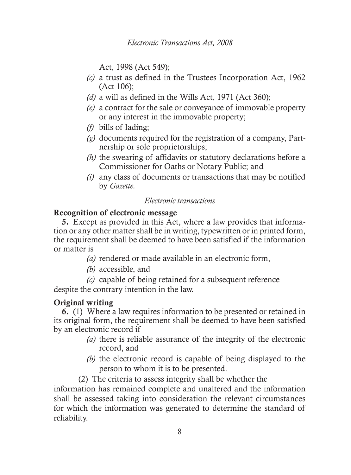Act, 1998 (Act 549);

- *(c)* a trust as defined in the Trustees Incorporation Act, 1962 (Act 106);
- *(d)* a will as defined in the Wills Act, 1971 (Act 360);
- *(e)* a contract for the sale or conveyance of immovable property or any interest in the immovable property;
- *(f)* bills of lading;
- *(g)* documents required for the registration of a company, Partnership or sole proprietorships;
- *(h)* the swearing of affidavits or statutory declarations before a Commissioner for Oaths or Notary Public; and
- *(i)* any class of documents or transactions that may be notified by *Gazette.*

### *Electronic transactions*

### Recognition of electronic message

5. Except as provided in this Act, where a law provides that information or any other matter shall be in writing, typewritten or in printed form, the requirement shall be deemed to have been satisfied if the information or matter is

- *(a)* rendered or made available in an electronic form,
- *(b)* accessible, and

*(c)* capable of being retained for a subsequent reference despite the contrary intention in the law.

### Original writing

6. (1) Where a law requires information to be presented or retained in its original form, the requirement shall be deemed to have been satisfied by an electronic record if

- *(a)* there is reliable assurance of the integrity of the electronic record, and
- *(b)* the electronic record is capable of being displayed to the person to whom it is to be presented.
- (2) The criteria to assess integrity shall be whether the

information has remained complete and unaltered and the information shall be assessed taking into consideration the relevant circumstances for which the information was generated to determine the standard of reliability.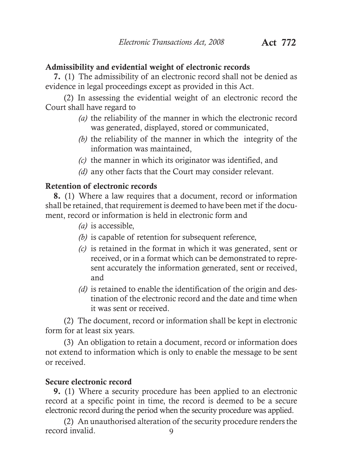### Admissibility and evidential weight of electronic records

7. (1) The admissibility of an electronic record shall not be denied as evidence in legal proceedings except as provided in this Act.

(2) In assessing the evidential weight of an electronic record the Court shall have regard to

- *(a)* the reliability of the manner in which the electronic record was generated, displayed, stored or communicated,
- *(b)* the reliability of the manner in which the integrity of the information was maintained,
- *(c)* the manner in which its originator was identified, and
- *(d)* any other facts that the Court may consider relevant.

### Retention of electronic records

8. (1) Where a law requires that a document, record or information shall be retained, that requirement is deemed to have been met if the document, record or information is held in electronic form and

- *(a)* is accessible,
- *(b)* is capable of retention for subsequent reference,
- *(c)* is retained in the format in which it was generated, sent or received, or in a format which can be demonstrated to represent accurately the information generated, sent or received, and
- *(d)* is retained to enable the identification of the origin and destination of the electronic record and the date and time when it was sent or received.

(2) The document, record or information shall be kept in electronic form for at least six years.

(3) An obligation to retain a document, record or information does not extend to information which is only to enable the message to be sent or received.

### Secure electronic record

9. (1) Where a security procedure has been applied to an electronic record at a specific point in time, the record is deemed to be a secure electronic record during the period when the security procedure was applied.

9 (2) An unauthorised alteration of the security procedure renders the record invalid.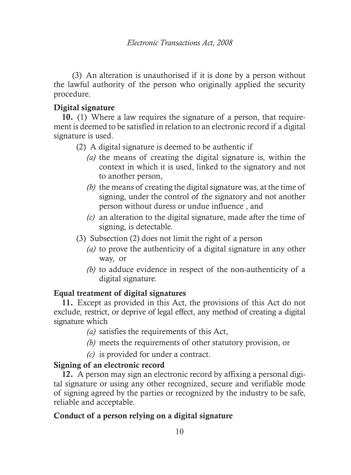(3) An alteration is unauthorised if it is done by a person without the lawful authority of the person who originally applied the security procedure.

### Digital signature

10. (1) Where a law requires the signature of a person, that requirement is deemed to be satisfied in relation to an electronic record if a digital signature is used.

- (2) A digital signature is deemed to be authentic if
	- *(a)* the means of creating the digital signature is, within the context in which it is used, linked to the signatory and not to another person,
	- *(b)* the means of creating the digital signature was, at the time of signing, under the control of the signatory and not another person without duress or undue influence , and
	- *(c)* an alteration to the digital signature, made after the time of signing, is detectable.
- (3) Subsection (2) does not limit the right of a person
	- *(a)* to prove the authenticity of a digital signature in any other way, or
	- *(b)* to adduce evidence in respect of the non-authenticity of a digital signature.

### Equal treatment of digital signatures

11. Except as provided in this Act, the provisions of this Act do not exclude, restrict, or deprive of legal effect, any method of creating a digital signature which

- *(a)* satisfies the requirements of this Act,
- *(b)* meets the requirements of other statutory provision, or
- *(c)* is provided for under a contract.

### Signing of an electronic record

12. A person may sign an electronic record by affixing a personal digital signature or using any other recognized, secure and verifiable mode of signing agreed by the parties or recognized by the industry to be safe, reliable and acceptable.

### Conduct of a person relying on a digital signature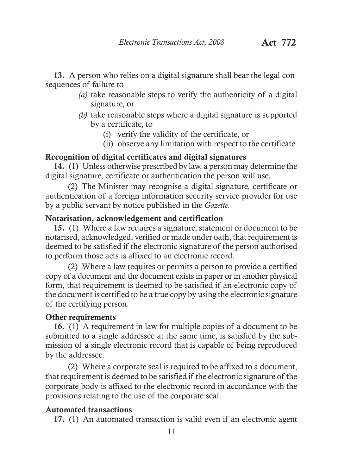13. A person who relies on a digital signature shall bear the legal consequences of failure to

- *(a)* take reasonable steps to verify the authenticity of a digital signature, or
- *(b)* take reasonable steps where a digital signature is supported by a certificate, to
	- (i) verify the validity of the certificate, or
	- (ii) observe any limitation with respect to the certificate.

### Recognition of digital certificates and digital signatures

14. (1) Unless otherwise prescribed by law, a person may determine the digital signature, certificate or authentication the person will use.

(2) The Minister may recognise a digital signature, certificate or authentication of a foreign information security service provider for use by a public servant by notice published in the *Gazette.*

#### Notarisation, acknowledgement and certification

15. (1) Where a law requires a signature, statement or document to be notarised, acknowledged, verified or made under oath, that requirement is deemed to be satisfied if the electronic signature of the person authorised to perform those acts is affixed to an electronic record.

(2) Where a law requires or permits a person to provide a certified copy of a document and the document exists in paper or in another physical form, that requirement is deemed to be satisfied if an electronic copy of the document is certified to be a true copy by using the electronic signature of the certifying person.

### Other requirements

16. (1) A requirement in law for multiple copies of a document to be submitted to a single addressee at the same time, is satisfied by the submission of a single electronic record that is capable of being reproduced by the addressee.

(2) Where a corporate seal is required to be affixed to a document, that requirement is deemed to be satisfied if the electronic signature of the corporate body is affixed to the electronic record in accordance with the provisions relating to the use of the corporate seal.

#### Automated transactions

17. (1) An automated transaction is valid even if an electronic agent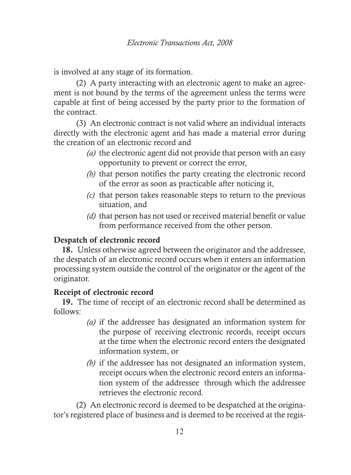is involved at any stage of its formation.

(2) A party interacting with an electronic agent to make an agreement is not bound by the terms of the agreement unless the terms were capable at first of being accessed by the party prior to the formation of the contract.

(3) An electronic contract is not valid where an individual interacts directly with the electronic agent and has made a material error during the creation of an electronic record and

- *(a)* the electronic agent did not provide that person with an easy opportunity to prevent or correct the error,
- *(b)* that person notifies the party creating the electronic record of the error as soon as practicable after noticing it,
- *(c)* that person takes reasonable steps to return to the previous situation, and
- *(d)* that person has not used or received material benefit or value from performance received from the other person.

### Despatch of electronic record

18. Unless otherwise agreed between the originator and the addressee, the despatch of an electronic record occurs when it enters an information processing system outside the control of the originator or the agent of the originator.

### Receipt of electronic record

19. The time of receipt of an electronic record shall be determined as follows:

- *(a)* if the addressee has designated an information system for the purpose of receiving electronic records, receipt occurs at the time when the electronic record enters the designated information system, or
- *(b)* if the addressee has not designated an information system, receipt occurs when the electronic record enters an information system of the addressee through which the addressee retrieves the electronic record.

(2) An electronic record is deemed to be despatched at the originator's registered place of business and is deemed to be received at the regis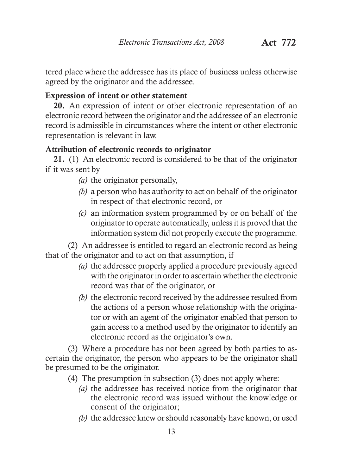tered place where the addressee has its place of business unless otherwise agreed by the originator and the addressee.

### Expression of intent or other statement

20. An expression of intent or other electronic representation of an electronic record between the originator and the addressee of an electronic record is admissible in circumstances where the intent or other electronic representation is relevant in law.

### Attribution of electronic records to originator

21. (1) An electronic record is considered to be that of the originator if it was sent by

- *(a)* the originator personally,
- *(b)* a person who has authority to act on behalf of the originator in respect of that electronic record, or
- *(c)* an information system programmed by or on behalf of the originator to operate automatically, unless it is proved that the information system did not properly execute the programme.

(2) An addressee is entitled to regard an electronic record as being that of the originator and to act on that assumption, if

- *(a)* the addressee properly applied a procedure previously agreed with the originator in order to ascertain whether the electronic record was that of the originator, or
- *(b)* the electronic record received by the addressee resulted from the actions of a person whose relationship with the originator or with an agent of the originator enabled that person to gain access to a method used by the originator to identify an electronic record as the originator's own.

(3) Where a procedure has not been agreed by both parties to ascertain the originator, the person who appears to be the originator shall be presumed to be the originator.

(4) The presumption in subsection (3) does not apply where:

- *(a)* the addressee has received notice from the originator that the electronic record was issued without the knowledge or consent of the originator;
- *(b)* the addressee knew or should reasonably have known, or used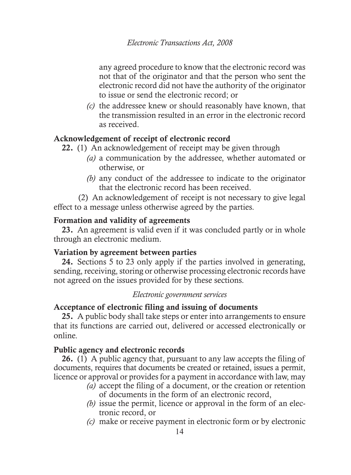### *Electronic Transactions Act, 2008*

any agreed procedure to know that the electronic record was not that of the originator and that the person who sent the electronic record did not have the authority of the originator to issue or send the electronic record; or

*(c)* the addressee knew or should reasonably have known, that the transmission resulted in an error in the electronic record as received.

#### Acknowledgement of receipt of electronic record

22. (1) An acknowledgement of receipt may be given through

- *(a)* a communication by the addressee, whether automated or otherwise, or
- *(b)* any conduct of the addressee to indicate to the originator that the electronic record has been received.

(2) An acknowledgement of receipt is not necessary to give legal effect to a message unless otherwise agreed by the parties.

#### Formation and validity of agreements

23. An agreement is valid even if it was concluded partly or in whole through an electronic medium.

#### Variation by agreement between parties

24. Sections 5 to 23 only apply if the parties involved in generating, sending, receiving, storing or otherwise processing electronic records have not agreed on the issues provided for by these sections.

#### *Electronic government services*

#### Acceptance of electronic filing and issuing of documents

25. A public body shall take steps or enter into arrangements to ensure that its functions are carried out, delivered or accessed electronically or online.

### Public agency and electronic records

**26.** (1) A public agency that, pursuant to any law accepts the filing of documents, requires that documents be created or retained, issues a permit, licence or approval or provides for a payment in accordance with law, may

- *(a)* accept the filing of a document, or the creation or retention of documents in the form of an electronic record,
- *(b)* issue the permit, licence or approval in the form of an electronic record, or
- *(c)* make or receive payment in electronic form or by electronic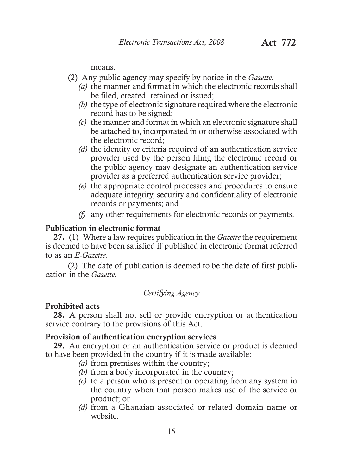means.

- (2) Any public agency may specify by notice in the *Gazette:*
	- *(a)* the manner and format in which the electronic records shall be filed, created, retained or issued;
	- *(b)* the type of electronic signature required where the electronic record has to be signed;
	- *(c)* the manner and format in which an electronic signature shall be attached to, incorporated in or otherwise associated with the electronic record;
	- *(d)* the identity or criteria required of an authentication service provider used by the person filing the electronic record or the public agency may designate an authentication service provider as a preferred authentication service provider;
	- *(e)* the appropriate control processes and procedures to ensure adequate integrity, security and confidentiality of electronic records or payments; and
	- *(f)* any other requirements for electronic records or payments.

#### Publication in electronic format

27. (1) Where a law requires publication in the *Gazette* the requirement is deemed to have been satisfied if published in electronic format referred to as an *E-Gazette.*

(2) The date of publication is deemed to be the date of first publication in the *Gazette.*

*Certifying Agency*

#### Prohibited acts

28. A person shall not sell or provide encryption or authentication service contrary to the provisions of this Act.

#### Provision of authentication encryption services

29. An encryption or an authentication service or product is deemed to have been provided in the country if it is made available:

- *(a)* from premises within the country;
- *(b)* from a body incorporated in the country;
- *(c)* to a person who is present or operating from any system in the country when that person makes use of the service or product; or
- *(d)* from a Ghanaian associated or related domain name or website.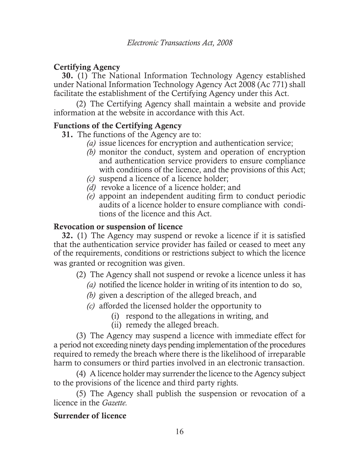### Certifying Agency

30. (1) The National Information Technology Agency established under National Information Technology Agency Act 2008 (Ac 771) shall facilitate the establishment of the Certifying Agency under this Act.

(2) The Certifying Agency shall maintain a website and provide information at the website in accordance with this Act.

### Functions of the Certifying Agency

31. The functions of the Agency are to:

- *(a)* issue licences for encryption and authentication service;
- *(b)* monitor the conduct, system and operation of encryption and authentication service providers to ensure compliance with conditions of the licence, and the provisions of this Act;
- *(c)* suspend a licence of a licence holder;
- *(d)* revoke a licence of a licence holder; and
- *(e)* appoint an independent auditing firm to conduct periodic audits of a licence holder to ensure compliance with conditions of the licence and this Act.

### Revocation or suspension of licence

32. (1) The Agency may suspend or revoke a licence if it is satisfied that the authentication service provider has failed or ceased to meet any of the requirements, conditions or restrictions subject to which the licence was granted or recognition was given.

(2) The Agency shall not suspend or revoke a licence unless it has

- *(a)* notified the licence holder in writing of its intention to do so,
- *(b)* given a description of the alleged breach, and
- *(c)* afforded the licensed holder the opportunity to
	- (i) respond to the allegations in writing, and
	- (ii) remedy the alleged breach.

(3) The Agency may suspend a licence with immediate effect for a period not exceeding ninety days pending implementation of the procedures required to remedy the breach where there is the likelihood of irreparable harm to consumers or third parties involved in an electronic transaction.

(4) A licence holder may surrender the licence to the Agency subject to the provisions of the licence and third party rights.

(5) The Agency shall publish the suspension or revocation of a licence in the *Gazette.*

#### Surrender of licence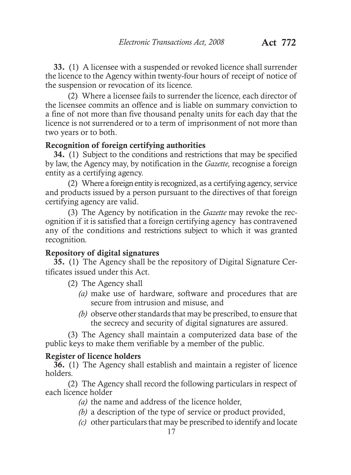33. (1) A licensee with a suspended or revoked licence shall surrender the licence to the Agency within twenty-four hours of receipt of notice of the suspension or revocation of its licence.

(2) Where a licensee fails to surrender the licence, each director of the licensee commits an offence and is liable on summary conviction to a fine of not more than five thousand penalty units for each day that the licence is not surrendered or to a term of imprisonment of not more than two years or to both.

### Recognition of foreign certifying authorities

34. (1) Subject to the conditions and restrictions that may be specified by law, the Agency may, by notification in the *Gazette,* recognise a foreign entity as a certifying agency.

(2) Where a foreign entity is recognized, as a certifying agency, service and products issued by a person pursuant to the directives of that foreign certifying agency are valid.

(3) The Agency by notification in the *Gazette* may revoke the recognition if it is satisfied that a foreign certifying agency has contravened any of the conditions and restrictions subject to which it was granted recognition*.*

#### Repository of digital signatures

35. (1) The Agency shall be the repository of Digital Signature Certificates issued under this Act.

- (2) The Agency shall
	- *(a)* make use of hardware, software and procedures that are secure from intrusion and misuse, and
	- *(b)* observe other standards that may be prescribed, to ensure that the secrecy and security of digital signatures are assured.

(3) The Agency shall maintain a computerized data base of the public keys to make them verifiable by a member of the public.

#### Register of licence holders

36. (1) The Agency shall establish and maintain a register of licence holders.

(2) The Agency shall record the following particulars in respect of each licence holder

- *(a)* the name and address of the licence holder,
- *(b)* a description of the type of service or product provided,
- *(c)* other particulars that may be prescribed to identify and locate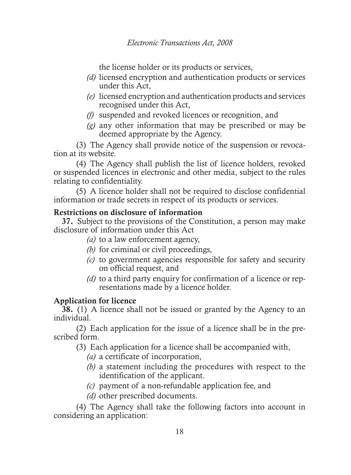the license holder or its products or services,

- *(d)* licensed encryption and authentication products or services under this Act,
- *(e)* licensed encryption and authentication products and services recognised under this Act,
- *(f)* suspended and revoked licences or recognition, and
- *(g)* any other information that may be prescribed or may be deemed appropriate by the Agency.

(3) The Agency shall provide notice of the suspension or revocation at its website.

(4) The Agency shall publish the list of licence holders, revoked or suspended licences in electronic and other media, subject to the rules relating to confidentiality.

(5) A licence holder shall not be required to disclose confidential information or trade secrets in respect of its products or services.

### Restrictions on disclosure of information

37. Subject to the provisions of the Constitution, a person may make disclosure of information under this Act

- *(a)* to a law enforcement agency,
- *(b)* for criminal or civil proceedings,
- *(c)* to government agencies responsible for safety and security on official request, and
- *(d)* to a third party enquiry for confirmation of a licence or representations made by a licence holder.

### Application for licence

38. (1) A licence shall not be issued or granted by the Agency to an individual.

(2) Each application for the issue of a licence shall be in the prescribed form.

(3) Each application for a licence shall be accompanied with,

- *(a)* a certificate of incorporation,
- *(b)* a statement including the procedures with respect to the identification of the applicant.
- *(c)* payment of a non-refundable application fee, and
- *(d)* other prescribed documents.

(4) The Agency shall take the following factors into account in considering an application: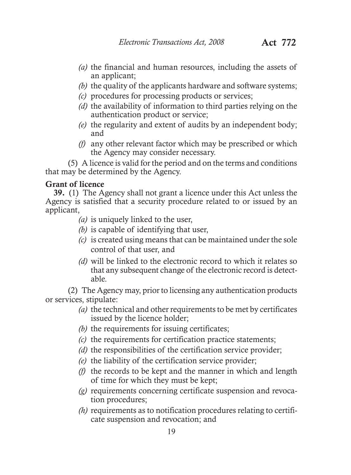- *(a)* the financial and human resources, including the assets of an applicant;
- *(b)* the quality of the applicants hardware and software systems;
- *(c)* procedures for processing products or services;
- *(d)* the availability of information to third parties relying on the authentication product or service;
- *(e)* the regularity and extent of audits by an independent body; and
- *(f)* any other relevant factor which may be prescribed or which the Agency may consider necessary.

(5) A licence is valid for the period and on the terms and conditions that may be determined by the Agency.

### Grant of licence

39. (1) The Agency shall not grant a licence under this Act unless the Agency is satisfied that a security procedure related to or issued by an applicant,

- *(a)* is uniquely linked to the user,
- *(b)* is capable of identifying that user,
- *(c)* is created using means that can be maintained under the sole control of that user, and
- *(d)* will be linked to the electronic record to which it relates so that any subsequent change of the electronic record is detectable.

(2) The Agency may, prior to licensing any authentication products or services, stipulate:

- *(a)* the technical and other requirements to be met by certificates issued by the licence holder;
- *(b)* the requirements for issuing certificates;
- *(c)* the requirements for certification practice statements;
- *(d)* the responsibilities of the certification service provider;
- *(e)* the liability of the certification service provider;
- *(f)* the records to be kept and the manner in which and length of time for which they must be kept;
- *(g)* requirements concerning certificate suspension and revocation procedures;
- *(h)* requirements as to notification procedures relating to certificate suspension and revocation; and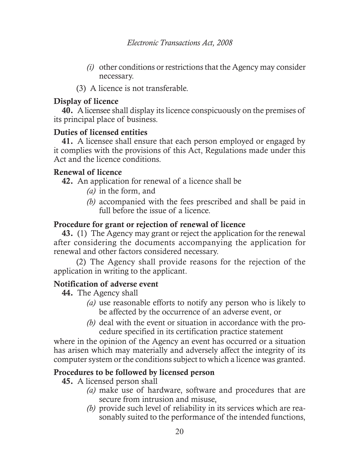- *(i)* other conditions or restrictions that the Agency may consider necessary.
- (3) A licence is not transferable.

### Display of licence

40. A licensee shall display its licence conspicuously on the premises of its principal place of business.

### Duties of licensed entities

41. A licensee shall ensure that each person employed or engaged by it complies with the provisions of this Act, Regulations made under this Act and the licence conditions.

### Renewal of licence

42. An application for renewal of a licence shall be

- *(a)* in the form, and
- *(b)* accompanied with the fees prescribed and shall be paid in full before the issue of a licence.

### Procedure for grant or rejection of renewal of licence

43. (1) The Agency may grant or reject the application for the renewal after considering the documents accompanying the application for renewal and other factors considered necessary.

(2) The Agency shall provide reasons for the rejection of the application in writing to the applicant.

### Notification of adverse event

- 44. The Agency shall
	- *(a)* use reasonable efforts to notify any person who is likely to be affected by the occurrence of an adverse event, or
	- *(b)* deal with the event or situation in accordance with the procedure specified in its certification practice statement

where in the opinion of the Agency an event has occurred or a situation has arisen which may materially and adversely affect the integrity of its computer system or the conditions subject to which a licence was granted.

### Procedures to be followed by licensed person

- 45. A licensed person shall
	- *(a)* make use of hardware, software and procedures that are secure from intrusion and misuse,
	- *(b)* provide such level of reliability in its services which are reasonably suited to the performance of the intended functions,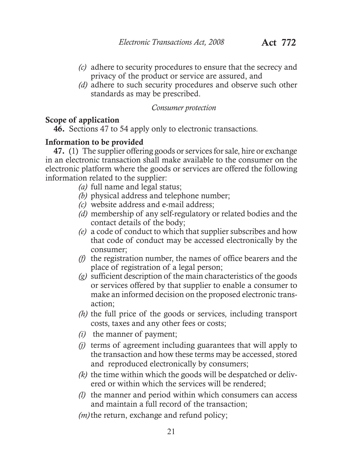- *(c)* adhere to security procedures to ensure that the secrecy and privacy of the product or service are assured, and
- *(d)* adhere to such security procedures and observe such other standards as may be prescribed.

#### *Consumer protection*

#### Scope of application

46. Sections 47 to 54 apply only to electronic transactions.

#### Information to be provided

47. (1) The supplier offering goods or services for sale, hire or exchange in an electronic transaction shall make available to the consumer on the electronic platform where the goods or services are offered the following information related to the supplier:

- *(a)* full name and legal status;
- *(b)* physical address and telephone number;
- *(c)* website address and e-mail address;
- *(d)* membership of any self-regulatory or related bodies and the contact details of the body;
- *(e)* a code of conduct to which that supplier subscribes and how that code of conduct may be accessed electronically by the consumer;
- *(f)* the registration number, the names of office bearers and the place of registration of a legal person;
- *(g)* sufficient description of the main characteristics of the goods or services offered by that supplier to enable a consumer to make an informed decision on the proposed electronic transaction;
- *(h)* the full price of the goods or services, including transport costs, taxes and any other fees or costs;
- *(i)* the manner of payment;
- *(j)* terms of agreement including guarantees that will apply to the transaction and how these terms may be accessed, stored and reproduced electronically by consumers;
- *(k)* the time within which the goods will be despatched or delivered or within which the services will be rendered;
- *(l)* the manner and period within which consumers can access and maintain a full record of the transaction;
- *(m)* the return, exchange and refund policy;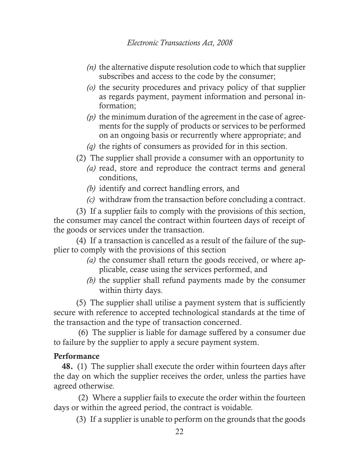- *(n)* the alternative dispute resolution code to which that supplier subscribes and access to the code by the consumer;
- *(o)* the security procedures and privacy policy of that supplier as regards payment, payment information and personal information;
- *(p)* the minimum duration of the agreement in the case of agreements for the supply of products or services to be performed on an ongoing basis or recurrently where appropriate; and
- *(q)* the rights of consumers as provided for in this section.
- (2) The supplier shall provide a consumer with an opportunity to
	- *(a)* read, store and reproduce the contract terms and general conditions,
	- *(b)* identify and correct handling errors, and
	- *(c)* withdraw from the transaction before concluding a contract.

(3) If a supplier fails to comply with the provisions of this section, the consumer may cancel the contract within fourteen days of receipt of the goods or services under the transaction.

(4) If a transaction is cancelled as a result of the failure of the supplier to comply with the provisions of this section

- *(a)* the consumer shall return the goods received, or where applicable, cease using the services performed, and
- *(b)* the supplier shall refund payments made by the consumer within thirty days.

(5) The supplier shall utilise a payment system that is sufficiently secure with reference to accepted technological standards at the time of the transaction and the type of transaction concerned.

(6) The supplier is liable for damage suffered by a consumer due to failure by the supplier to apply a secure payment system.

### **Performance**

48. (1) The supplier shall execute the order within fourteen days after the day on which the supplier receives the order, unless the parties have agreed otherwise.

(2) Where a supplier fails to execute the order within the fourteen days or within the agreed period, the contract is voidable.

(3) If a supplier is unable to perform on the grounds that the goods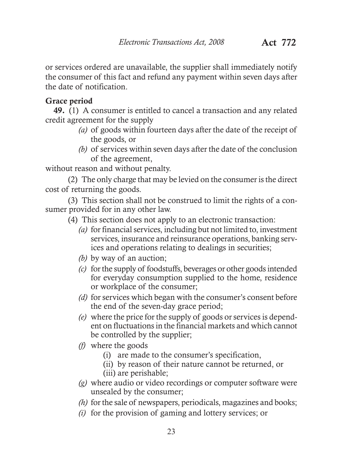or services ordered are unavailable, the supplier shall immediately notify the consumer of this fact and refund any payment within seven days after the date of notification.

### Grace period

49. (1) A consumer is entitled to cancel a transaction and any related credit agreement for the supply

- *(a)* of goods within fourteen days after the date of the receipt of the goods, or
- *(b)* of services within seven days after the date of the conclusion of the agreement,

without reason and without penalty.

(2) The only charge that may be levied on the consumer is the direct cost of returning the goods.

(3) This section shall not be construed to limit the rights of a consumer provided for in any other law.

(4) This section does not apply to an electronic transaction:

- *(a)* for financial services, including but not limited to, investment services, insurance and reinsurance operations, banking services and operations relating to dealings in securities;
- *(b)* by way of an auction;
- *(c)* for the supply of foodstuffs, beverages or other goods intended for everyday consumption supplied to the home, residence or workplace of the consumer;
- *(d)* for services which began with the consumer's consent before the end of the seven-day grace period;
- *(e)* where the price for the supply of goods or services is dependent on fluctuations in the financial markets and which cannot be controlled by the supplier;
- *(f)* where the goods
	- (i) are made to the consumer's specification,
	- (ii) by reason of their nature cannot be returned, or
	- (iii) are perishable;
- *(g)* where audio or video recordings or computer software were unsealed by the consumer;
- *(h)* for the sale of newspapers, periodicals, magazines and books;
- *(i)* for the provision of gaming and lottery services; or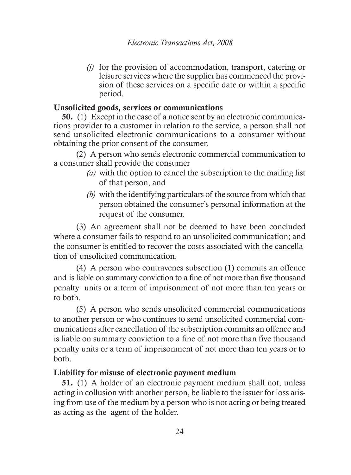*(j)* for the provision of accommodation, transport, catering or leisure services where the supplier has commenced the provision of these services on a specific date or within a specific period.

### Unsolicited goods, services or communications

50. (1) Except in the case of a notice sent by an electronic communications provider to a customer in relation to the service, a person shall not send unsolicited electronic communications to a consumer without obtaining the prior consent of the consumer.

(2) A person who sends electronic commercial communication to a consumer shall provide the consumer

- *(a)* with the option to cancel the subscription to the mailing list of that person, and
- *(b)* with the identifying particulars of the source from which that person obtained the consumer's personal information at the request of the consumer.

(3) An agreement shall not be deemed to have been concluded where a consumer fails to respond to an unsolicited communication; and the consumer is entitled to recover the costs associated with the cancellation of unsolicited communication.

(4) A person who contravenes subsection (1) commits an offence and is liable on summary conviction to a fine of not more than five thousand penalty units or a term of imprisonment of not more than ten years or to both.

(5) A person who sends unsolicited commercial communications to another person or who continues to send unsolicited commercial communications after cancellation of the subscription commits an offence and is liable on summary conviction to a fine of not more than five thousand penalty units or a term of imprisonment of not more than ten years or to both.

### Liability for misuse of electronic payment medium

51. (1) A holder of an electronic payment medium shall not, unless acting in collusion with another person, be liable to the issuer for loss arising from use of the medium by a person who is not acting or being treated as acting as the agent of the holder.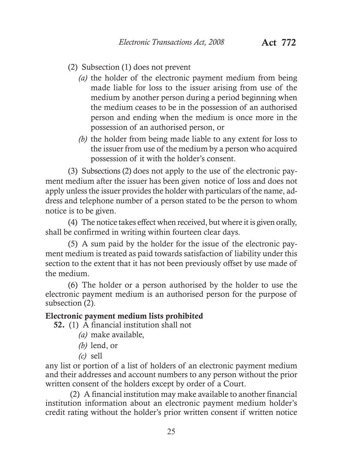- (2) Subsection (1) does not prevent
	- *(a)* the holder of the electronic payment medium from being made liable for loss to the issuer arising from use of the medium by another person during a period beginning when the medium ceases to be in the possession of an authorised person and ending when the medium is once more in the possession of an authorised person, or
	- *(b)* the holder from being made liable to any extent for loss to the issuer from use of the medium by a person who acquired possession of it with the holder's consent.

(3) Subsections (2) does not apply to the use of the electronic payment medium after the issuer has been given notice of loss and does not apply unless the issuer provides the holder with particulars of the name, address and telephone number of a person stated to be the person to whom notice is to be given.

(4) The notice takes effect when received, but where it is given orally, shall be confirmed in writing within fourteen clear days.

(5) A sum paid by the holder for the issue of the electronic payment medium is treated as paid towards satisfaction of liability under this section to the extent that it has not been previously offset by use made of the medium.

(6) The holder or a person authorised by the holder to use the electronic payment medium is an authorised person for the purpose of subsection (2).

#### Electronic payment medium lists prohibited

52. (1) A financial institution shall not

- *(a)* make available,
- *(b)* lend, or
- *(c)* sell

any list or portion of a list of holders of an electronic payment medium and their addresses and account numbers to any person without the prior written consent of the holders except by order of a Court.

(2) A financial institution may make available to another financial institution information about an electronic payment medium holder's credit rating without the holder's prior written consent if written notice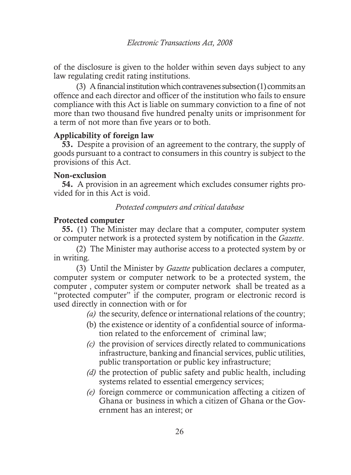of the disclosure is given to the holder within seven days subject to any law regulating credit rating institutions.

(3) A financial institution which contravenes subsection (1) commits an offence and each director and officer of the institution who fails to ensure compliance with this Act is liable on summary conviction to a fine of not more than two thousand five hundred penalty units or imprisonment for a term of not more than five years or to both.

### Applicability of foreign law

53. Despite a provision of an agreement to the contrary, the supply of goods pursuant to a contract to consumers in this country is subject to the provisions of this Act.

### Non-exclusion

54. A provision in an agreement which excludes consumer rights provided for in this Act is void.

### *Protected computers and critical database*

### Protected computer

55. (1) The Minister may declare that a computer, computer system or computer network is a protected system by notification in the *Gazette*.

(2) The Minister may authorise access to a protected system by or in writing.

(3) Until the Minister by *Gazette* publication declares a computer, computer system or computer network to be a protected system, the computer , computer system or computer network shall be treated as a "protected computer" if the computer, program or electronic record is used directly in connection with or for

*(a)* the security, defence or international relations of the country;

- (b) the existence or identity of a confidential source of information related to the enforcement of criminal law;
- *(c)* the provision of services directly related to communications infrastructure, banking and financial services, public utilities, public transportation or public key infrastructure;
- *(d)* the protection of public safety and public health, including systems related to essential emergency services;
- *(e)* foreign commerce or communication affecting a citizen of Ghana or business in which a citizen of Ghana or the Government has an interest; or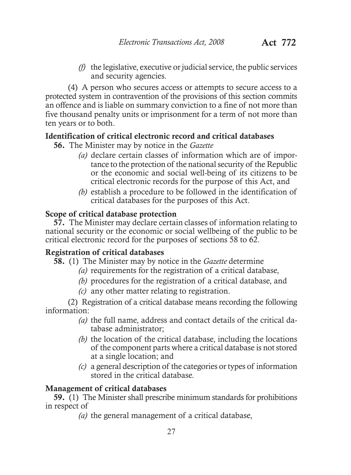*(f)* the legislative, executive or judicial service, the public services and security agencies.

(4) A person who secures access or attempts to secure access to a protected system in contravention of the provisions of this section commits an offence and is liable on summary conviction to a fine of not more than five thousand penalty units or imprisonment for a term of not more than ten years or to both.

### Identification of critical electronic record and critical databases

- 56. The Minister may by notice in the *Gazette*
	- *(a)* declare certain classes of information which are of importance to the protection of the national security of the Republic or the economic and social well-being of its citizens to be critical electronic records for the purpose of this Act, and
	- *(b)* establish a procedure to be followed in the identification of critical databases for the purposes of this Act.

### Scope of critical database protection

57. The Minister may declare certain classes of information relating to national security or the economic or social wellbeing of the public to be critical electronic record for the purposes of sections 58 to 62.

### Registration of critical databases

58. (1) The Minister may by notice in the *Gazette* determine

- *(a)* requirements for the registration of a critical database,
- *(b)* procedures for the registration of a critical database, and
- *(c)* any other matter relating to registration.

(2) Registration of a critical database means recording the following information:

- *(a)* the full name, address and contact details of the critical database administrator;
- *(b)* the location of the critical database, including the locations of the component parts where a critical database is not stored at a single location; and
- *(c)* a general description of the categories or types of information stored in the critical database.

### Management of critical databases

59. (1) The Minister shall prescribe minimum standards for prohibitions in respect of

*(a)* the general management of a critical database,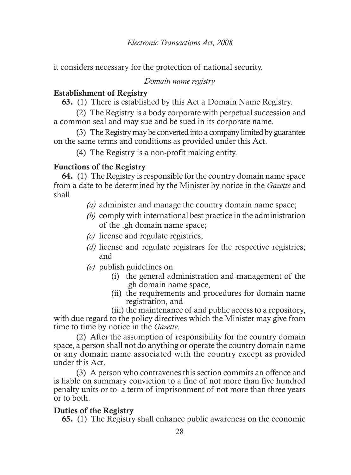it considers necessary for the protection of national security.

*Domain name registry*

### Establishment of Registry

63. (1) There is established by this Act a Domain Name Registry.

(2) The Registry is a body corporate with perpetual succession and a common seal and may sue and be sued in its corporate name.

(3) The Registry may be converted into a company limited by guarantee on the same terms and conditions as provided under this Act.

(4) The Registry is a non-profit making entity.

### Functions of the Registry

64. (1) The Registry is responsible for the country domain name space from a date to be determined by the Minister by notice in the *Gazette* and shall

- *(a)* administer and manage the country domain name space;
- *(b)* comply with international best practice in the administration of the .gh domain name space;
- *(c)* license and regulate registries;
- *(d)* license and regulate registrars for the respective registries; and
- *(e)* publish guidelines on
	- (i) the general administration and management of the .gh domain name space,
	- (ii) the requirements and procedures for domain name registration, and

(iii) the maintenance of and public access to a repository, with due regard to the policy directives which the Minister may give from time to time by notice in the *Gazette*.

(2) After the assumption of responsibility for the country domain space, a person shall not do anything or operate the country domain name or any domain name associated with the country except as provided under this Act.

(3) A person who contravenes this section commits an offence and is liable on summary conviction to a fine of not more than five hundred penalty units or to a term of imprisonment of not more than three years or to both.

### Duties of the Registry

65. (1) The Registry shall enhance public awareness on the economic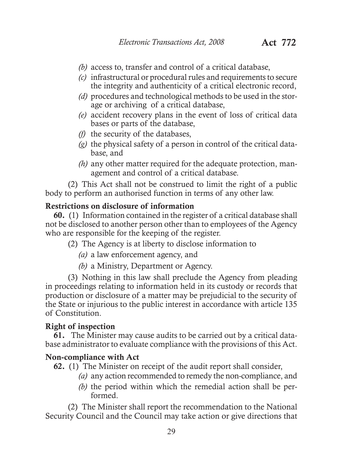- *(b)* access to, transfer and control of a critical database,
- *(c)* infrastructural or procedural rules and requirements to secure the integrity and authenticity of a critical electronic record,
- *(d)* procedures and technological methods to be used in the storage or archiving of a critical database,
- *(e)* accident recovery plans in the event of loss of critical data bases or parts of the database,
- *(f)* the security of the databases,
- *(g)* the physical safety of a person in control of the critical database, and
- *(h)* any other matter required for the adequate protection, management and control of a critical database.

(2) This Act shall not be construed to limit the right of a public body to perform an authorised function in terms of any other law.

### Restrictions on disclosure of information

60. (1) Information contained in the register of a critical database shall not be disclosed to another person other than to employees of the Agency who are responsible for the keeping of the register.

- (2) The Agency is at liberty to disclose information to
	- *(a)* a law enforcement agency, and
	- *(b)* a Ministry, Department or Agency.

(3) Nothing in this law shall preclude the Agency from pleading in proceedings relating to information held in its custody or records that production or disclosure of a matter may be prejudicial to the security of the State or injurious to the public interest in accordance with article 135 of Constitution.

### Right of inspection

61. The Minister may cause audits to be carried out by a critical database administrator to evaluate compliance with the provisions of this Act.

#### Non-compliance with Act

62. (1) The Minister on receipt of the audit report shall consider,

- *(a)* any action recommended to remedy the non-compliance, and
- *(b)* the period within which the remedial action shall be performed.

(2) The Minister shall report the recommendation to the National Security Council and the Council may take action or give directions that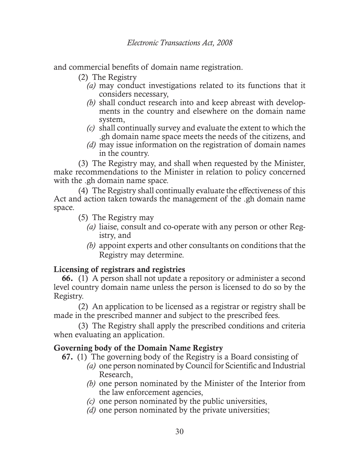and commercial benefits of domain name registration.

- (2) The Registry
	- *(a)* may conduct investigations related to its functions that it considers necessary,
	- *(b)* shall conduct research into and keep abreast with developments in the country and elsewhere on the domain name system,
	- *(c)* shall continually survey and evaluate the extent to which the .gh domain name space meets the needs of the citizens, and
	- *(d)* may issue information on the registration of domain names in the country.

(3) The Registry may, and shall when requested by the Minister, make recommendations to the Minister in relation to policy concerned with the .gh domain name space.

(4) The Registry shall continually evaluate the effectiveness of this Act and action taken towards the management of the .gh domain name space.

- (5) The Registry may
	- *(a)* liaise, consult and co-operate with any person or other Registry, and
	- *(b)* appoint experts and other consultants on conditions that the Registry may determine.

### Licensing of registrars and registries

66. (1) A person shall not update a repository or administer a second level country domain name unless the person is licensed to do so by the Registry.

(2) An application to be licensed as a registrar or registry shall be made in the prescribed manner and subject to the prescribed fees.

(3) The Registry shall apply the prescribed conditions and criteria when evaluating an application.

### Governing body of the Domain Name Registry

67. (1) The governing body of the Registry is a Board consisting of

- *(a)* one person nominated by Council for Scientific and Industrial Research,
- *(b)* one person nominated by the Minister of the Interior from the law enforcement agencies,
- *(c)* one person nominated by the public universities,
- *(d)* one person nominated by the private universities;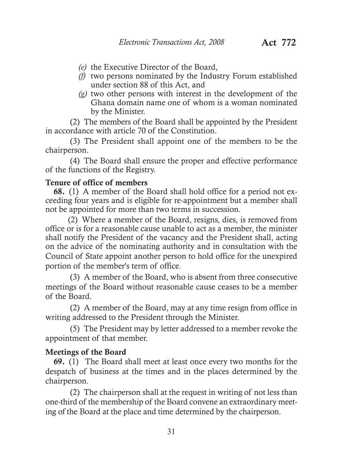- *(e)* the Executive Director of the Board,
- *(f)* two persons nominated by the Industry Forum established under section 88 of this Act, and
- *(g)* two other persons with interest in the development of the Ghana domain name one of whom is a woman nominated by the Minister.

(2) The members of the Board shall be appointed by the President in accordance with article 70 of the Constitution.

(3) The President shall appoint one of the members to be the chairperson.

(4) The Board shall ensure the proper and effective performance of the functions of the Registry.

#### Tenure of office of members

68. (1) A member of the Board shall hold office for a period not exceeding four years and is eligible for re-appointment but a member shall not be appointed for more than two terms in succession.

(2) Where a member of the Board, resigns, dies, is removed from office or is for a reasonable cause unable to act as a member, the minister shall notify the President of the vacancy and the President shall, acting on the advice of the nominating authority and in consultation with the Council of State appoint another person to hold office for the unexpired portion of the member's term of office.

(3) A member of the Board, who is absent from three consecutive meetings of the Board without reasonable cause ceases to be a member of the Board.

(2) A member of the Board, may at any time resign from office in writing addressed to the President through the Minister.

(5) The President may by letter addressed to a member revoke the appointment of that member.

#### Meetings of the Board

69. (1) The Board shall meet at least once every two months for the despatch of business at the times and in the places determined by the chairperson.

(2) The chairperson shall at the request in writing of not less than one-third of the membership of the Board convene an extraordinary meeting of the Board at the place and time determined by the chairperson.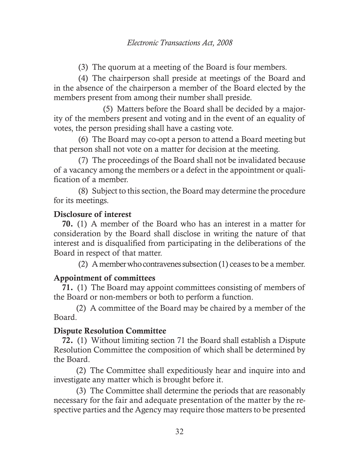(3) The quorum at a meeting of the Board is four members.

(4) The chairperson shall preside at meetings of the Board and in the absence of the chairperson a member of the Board elected by the members present from among their number shall preside.

(5) Matters before the Board shall be decided by a majority of the members present and voting and in the event of an equality of votes, the person presiding shall have a casting vote.

(6) The Board may co-opt a person to attend a Board meeting but that person shall not vote on a matter for decision at the meeting.

(7) The proceedings of the Board shall not be invalidated because of a vacancy among the members or a defect in the appointment or qualification of a member.

(8) Subject to this section, the Board may determine the procedure for its meetings.

### Disclosure of interest

70. (1) A member of the Board who has an interest in a matter for consideration by the Board shall disclose in writing the nature of that interest and is disqualified from participating in the deliberations of the Board in respect of that matter.

(2) A member who contravenes subsection (1) ceases to be a member.

### Appointment of committees

71. (1) The Board may appoint committees consisting of members of the Board or non-members or both to perform a function.

(2) A committee of the Board may be chaired by a member of the Board.

### Dispute Resolution Committee

72. (1) Without limiting section 71 the Board shall establish a Dispute Resolution Committee the composition of which shall be determined by the Board.

(2) The Committee shall expeditiously hear and inquire into and investigate any matter which is brought before it.

(3) The Committee shall determine the periods that are reasonably necessary for the fair and adequate presentation of the matter by the respective parties and the Agency may require those matters to be presented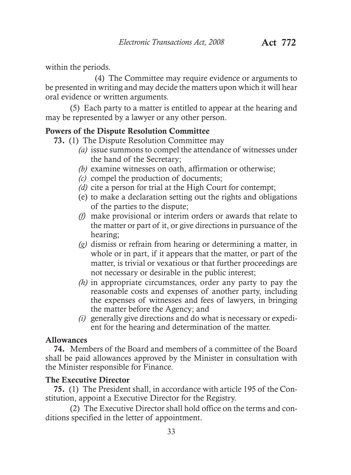within the periods.

(4) The Committee may require evidence or arguments to be presented in writing and may decide the matters upon which it will hear oral evidence or written arguments.

(5) Each party to a matter is entitled to appear at the hearing and may be represented by a lawyer or any other person.

#### Powers of the Dispute Resolution Committee

73. (1) The Dispute Resolution Committee may

- *(a)* issue summons to compel the attendance of witnesses under the hand of the Secretary;
- *(b)* examine witnesses on oath, affirmation or otherwise;
- *(c)* compel the production of documents;
- *(d)* cite a person for trial at the High Court for contempt;
- (e) to make a declaration setting out the rights and obligations of the parties to the dispute;
- *(f)* make provisional or interim orders or awards that relate to the matter or part of it, or give directions in pursuance of the hearing;
- *(g)* dismiss or refrain from hearing or determining a matter, in whole or in part, if it appears that the matter, or part of the matter, is trivial or vexatious or that further proceedings are not necessary or desirable in the public interest;
- *(h)* in appropriate circumstances, order any party to pay the reasonable costs and expenses of another party, including the expenses of witnesses and fees of lawyers, in bringing the matter before the Agency; and
- *(i)* generally give directions and do what is necessary or expedient for the hearing and determination of the matter.

#### Allowances

74. Members of the Board and members of a committee of the Board shall be paid allowances approved by the Minister in consultation with the Minister responsible for Finance.

#### The Executive Director

75. (1) The President shall, in accordance with article 195 of the Constitution, appoint a Executive Director for the Registry.

(2) The Executive Director shall hold office on the terms and conditions specified in the letter of appointment.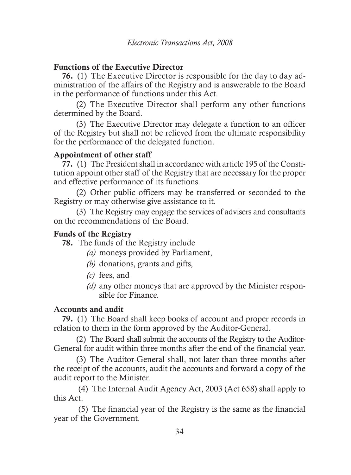### Functions of the Executive Director

76. (1) The Executive Director is responsible for the day to day administration of the affairs of the Registry and is answerable to the Board in the performance of functions under this Act.

(2) The Executive Director shall perform any other functions determined by the Board.

(3) The Executive Director may delegate a function to an officer of the Registry but shall not be relieved from the ultimate responsibility for the performance of the delegated function.

### Appointment of other staff

77. (1) The President shall in accordance with article 195 of the Constitution appoint other staff of the Registry that are necessary for the proper and effective performance of its functions.

(2) Other public officers may be transferred or seconded to the Registry or may otherwise give assistance to it.

(3) The Registry may engage the services of advisers and consultants on the recommendations of the Board.

#### Funds of the Registry

78. The funds of the Registry include

- *(a)* moneys provided by Parliament,
- *(b)* donations, grants and gifts,
- *(c)* fees, and
- *(d)* any other moneys that are approved by the Minister responsible for Finance.

#### Accounts and audit

79. (1) The Board shall keep books of account and proper records in relation to them in the form approved by the Auditor-General.

(2) The Board shall submit the accounts of the Registry to the Auditor-General for audit within three months after the end of the financial year.

(3) The Auditor-General shall, not later than three months after the receipt of the accounts, audit the accounts and forward a copy of the audit report to the Minister.

(4) The Internal Audit Agency Act, 2003 (Act 658) shall apply to this Act.

(5) The financial year of the Registry is the same as the financial year of the Government.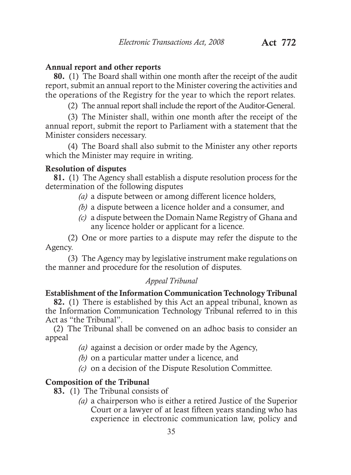#### Annual report and other reports

80. (1) The Board shall within one month after the receipt of the audit report, submit an annual report to the Minister covering the activities and the operations of the Registry for the year to which the report relates.

(2) The annual report shall include the report of the Auditor-General.

(3) The Minister shall, within one month after the receipt of the annual report, submit the report to Parliament with a statement that the Minister considers necessary.

(4) The Board shall also submit to the Minister any other reports which the Minister may require in writing.

#### Resolution of disputes

81. (1) The Agency shall establish a dispute resolution process for the determination of the following disputes

- *(a)* a dispute between or among different licence holders,
- *(b)* a dispute between a licence holder and a consumer, and
- *(c)* a dispute between the Domain Name Registry of Ghana and any licence holder or applicant for a licence.

(2) One or more parties to a dispute may refer the dispute to the Agency.

(3) The Agency may by legislative instrument make regulations on the manner and procedure for the resolution of disputes.

#### *Appeal Tribunal*

### Establishment of the Information Communication Technology Tribunal

82. (1) There is established by this Act an appeal tribunal, known as the Information Communication Technology Tribunal referred to in this Act as "the Tribunal".

(2) The Tribunal shall be convened on an adhoc basis to consider an appeal

- *(a)* against a decision or order made by the Agency,
- *(b)* on a particular matter under a licence, and
- *(c)* on a decision of the Dispute Resolution Committee.

#### Composition of the Tribunal

- 83. (1) The Tribunal consists of
	- *(a)* a chairperson who is either a retired Justice of the Superior Court or a lawyer of at least fifteen years standing who has experience in electronic communication law, policy and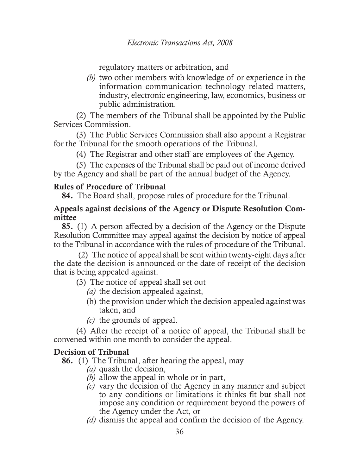regulatory matters or arbitration, and

*(b)* two other members with knowledge of or experience in the information communication technology related matters, industry, electronic engineering, law, economics, business or public administration.

(2) The members of the Tribunal shall be appointed by the Public Services Commission.

(3) The Public Services Commission shall also appoint a Registrar for the Tribunal for the smooth operations of the Tribunal.

(4) The Registrar and other staff are employees of the Agency.

(5) The expenses of the Tribunal shall be paid out of income derived by the Agency and shall be part of the annual budget of the Agency.

### Rules of Procedure of Tribunal

84. The Board shall, propose rules of procedure for the Tribunal.

### Appeals against decisions of the Agency or Dispute Resolution Committee

85. (1) A person affected by a decision of the Agency or the Dispute Resolution Committee may appeal against the decision by notice of appeal to the Tribunal in accordance with the rules of procedure of the Tribunal.

(2) The notice of appeal shall be sent within twenty-eight days after the date the decision is announced or the date of receipt of the decision that is being appealed against.

- (3) The notice of appeal shall set out
	- *(a)* the decision appealed against,
	- (b) the provision under which the decision appealed against was taken, and
	- *(c)* the grounds of appeal.

(4) After the receipt of a notice of appeal, the Tribunal shall be convened within one month to consider the appeal.

### Decision of Tribunal

86. (1) The Tribunal, after hearing the appeal, may

- *(a)* quash the decision,
- *(b)* allow the appeal in whole or in part,
- *(c)* vary the decision of the Agency in any manner and subject to any conditions or limitations it thinks fit but shall not impose any condition or requirement beyond the powers of the Agency under the Act, or
- *(d)* dismiss the appeal and confirm the decision of the Agency.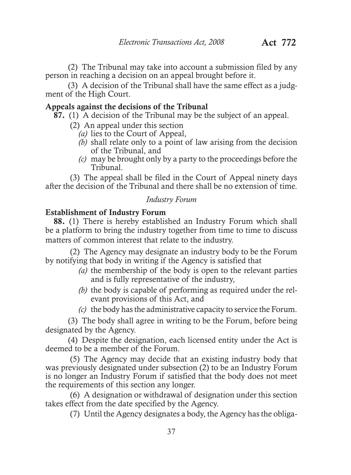(2) The Tribunal may take into account a submission filed by any person in reaching a decision on an appeal brought before it.

(3) A decision of the Tribunal shall have the same effect as a judgment of the High Court.

## Appeals against the decisions of the Tribunal

87. (1) A decision of the Tribunal may be the subject of an appeal.

- (2) An appeal under this section
	- *(a)* lies to the Court of Appeal,
	- *(b)* shall relate only to a point of law arising from the decision of the Tribunal, and
	- *(c)* may be brought only by a party to the proceedings before the Tribunal.

(3) The appeal shall be filed in the Court of Appeal ninety days after the decision of the Tribunal and there shall be no extension of time.

#### *Industry Forum*

#### Establishment of Industry Forum

88. (1) There is hereby established an Industry Forum which shall be a platform to bring the industry together from time to time to discuss matters of common interest that relate to the industry.

(2) The Agency may designate an industry body to be the Forum by notifying that body in writing if the Agency is satisfied that

- *(a)* the membership of the body is open to the relevant parties and is fully representative of the industry,
- *(b)* the body is capable of performing as required under the relevant provisions of this Act, and
- *(c)* the body has the administrative capacity to service the Forum.

(3) The body shall agree in writing to be the Forum, before being designated by the Agency.

(4) Despite the designation, each licensed entity under the Act is deemed to be a member of the Forum.

(5) The Agency may decide that an existing industry body that was previously designated under subsection (2) to be an Industry Forum is no longer an Industry Forum if satisfied that the body does not meet the requirements of this section any longer.

(6) A designation or withdrawal of designation under this section takes effect from the date specified by the Agency.

(7) Until the Agency designates a body, the Agency has the obliga-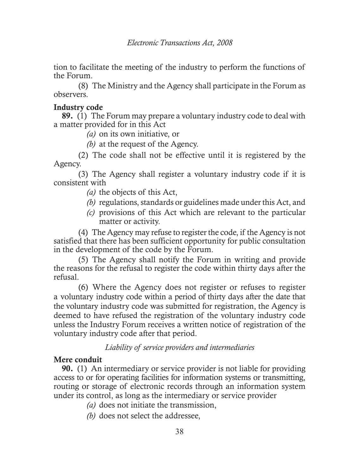tion to facilitate the meeting of the industry to perform the functions of the Forum.

(8) The Ministry and the Agency shall participate in the Forum as observers.

## Industry code

89. (1) The Forum may prepare a voluntary industry code to deal with a matter provided for in this Act

- *(a)* on its own initiative, or
- *(b)* at the request of the Agency.

(2) The code shall not be effective until it is registered by the Agency.

(3) The Agency shall register a voluntary industry code if it is consistent with

- *(a)* the objects of this Act,
- *(b)* regulations, standards or guidelines made under this Act, and
- *(c)* provisions of this Act which are relevant to the particular matter or activity.

(4) The Agency may refuse to register the code, if the Agency is not satisfied that there has been sufficient opportunity for public consultation in the development of the code by the Forum.

(5) The Agency shall notify the Forum in writing and provide the reasons for the refusal to register the code within thirty days after the refusal.

(6) Where the Agency does not register or refuses to register a voluntary industry code within a period of thirty days after the date that the voluntary industry code was submitted for registration, the Agency is deemed to have refused the registration of the voluntary industry code unless the Industry Forum receives a written notice of registration of the voluntary industry code after that period.

*Liability of service providers and intermediaries*

#### Mere conduit

90. (1) An intermediary or service provider is not liable for providing access to or for operating facilities for information systems or transmitting, routing or storage of electronic records through an information system under its control, as long as the intermediary or service provider

- *(a)* does not initiate the transmission,
- *(b)* does not select the addressee,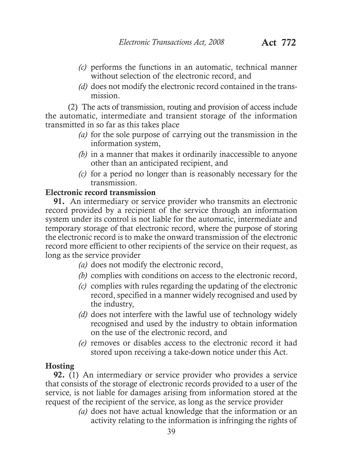- *(c)* performs the functions in an automatic, technical manner without selection of the electronic record, and
- *(d)* does not modify the electronic record contained in the transmission.

(2) The acts of transmission, routing and provision of access include the automatic, intermediate and transient storage of the information transmitted in so far as this takes place

- *(a)* for the sole purpose of carrying out the transmission in the information system,
- *(b)* in a manner that makes it ordinarily inaccessible to anyone other than an anticipated recipient, and
- *(c)* for a period no longer than is reasonably necessary for the transmission.

## Electronic record transmission

91. An intermediary or service provider who transmits an electronic record provided by a recipient of the service through an information system under its control is not liable for the automatic, intermediate and temporary storage of that electronic record, where the purpose of storing the electronic record is to make the onward transmission of the electronic record more efficient to other recipients of the service on their request, as long as the service provider

- *(a)* does not modify the electronic record,
- *(b)* complies with conditions on access to the electronic record,
- *(c)* complies with rules regarding the updating of the electronic record, specified in a manner widely recognised and used by the industry,
- *(d)* does not interfere with the lawful use of technology widely recognised and used by the industry to obtain information on the use of the electronic record, and
- *(e)* removes or disables access to the electronic record it had stored upon receiving a take-down notice under this Act.

## Hosting

92. (1) An intermediary or service provider who provides a service that consists of the storage of electronic records provided to a user of the service, is not liable for damages arising from information stored at the request of the recipient of the service, as long as the service provider

*(a)* does not have actual knowledge that the information or an activity relating to the information is infringing the rights of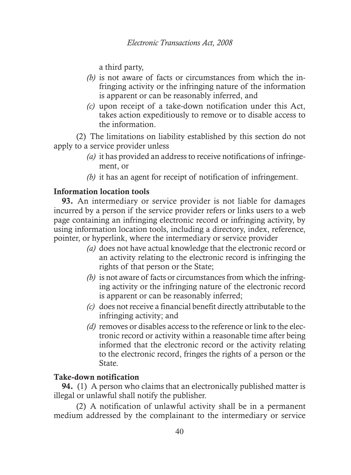a third party,

- *(b)* is not aware of facts or circumstances from which the infringing activity or the infringing nature of the information is apparent or can be reasonably inferred, and
- *(c)* upon receipt of a take-down notification under this Act, takes action expeditiously to remove or to disable access to the information.

(2) The limitations on liability established by this section do not apply to a service provider unless

- *(a)* it has provided an address to receive notifications of infringement, or
- *(b)* it has an agent for receipt of notification of infringement.

## Information location tools

93. An intermediary or service provider is not liable for damages incurred by a person if the service provider refers or links users to a web page containing an infringing electronic record or infringing activity, by using information location tools, including a directory, index, reference, pointer, or hyperlink, where the intermediary or service provider

- *(a)* does not have actual knowledge that the electronic record or an activity relating to the electronic record is infringing the rights of that person or the State;
- *(b)* is not aware of facts or circumstances from which the infringing activity or the infringing nature of the electronic record is apparent or can be reasonably inferred;
- *(c)* does not receive a financial benefit directly attributable to the infringing activity; and
- *(d)* removes or disables access to the reference or link to the electronic record or activity within a reasonable time after being informed that the electronic record or the activity relating to the electronic record, fringes the rights of a person or the State.

## Take-down notification

94. (1) A person who claims that an electronically published matter is illegal or unlawful shall notify the publisher.

(2) A notification of unlawful activity shall be in a permanent medium addressed by the complainant to the intermediary or service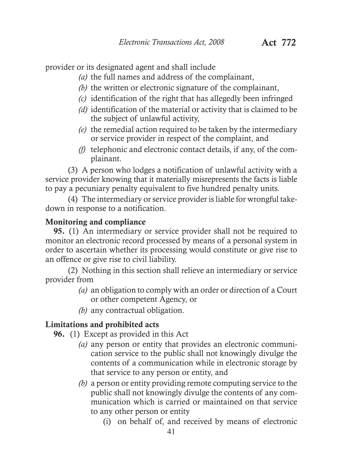provider or its designated agent and shall include

- *(a)* the full names and address of the complainant,
- *(b)* the written or electronic signature of the complainant,
- *(c)* identification of the right that has allegedly been infringed
- *(d)* identification of the material or activity that is claimed to be the subject of unlawful activity,
- *(e)* the remedial action required to be taken by the intermediary or service provider in respect of the complaint, and
- *(f)* telephonic and electronic contact details, if any, of the complainant.

(3) A person who lodges a notification of unlawful activity with a service provider knowing that it materially misrepresents the facts is liable to pay a pecuniary penalty equivalent to five hundred penalty units.

(4) The intermediary or service provider is liable for wrongful takedown in response to a notification.

## Monitoring and compliance

95. (1) An intermediary or service provider shall not be required to monitor an electronic record processed by means of a personal system in order to ascertain whether its processing would constitute or give rise to an offence or give rise to civil liability.

(2) Nothing in this section shall relieve an intermediary or service provider from

- *(a)* an obligation to comply with an order or direction of a Court or other competent Agency, or
- *(b)* any contractual obligation.

## Limitations and prohibited acts

- 96. (1) Except as provided in this Act
	- *(a)* any person or entity that provides an electronic communication service to the public shall not knowingly divulge the contents of a communication while in electronic storage by that service to any person or entity, and
	- *(b)* a person or entity providing remote computing service to the public shall not knowingly divulge the contents of any communication which is carried or maintained on that service to any other person or entity
		- (i) on behalf of, and received by means of electronic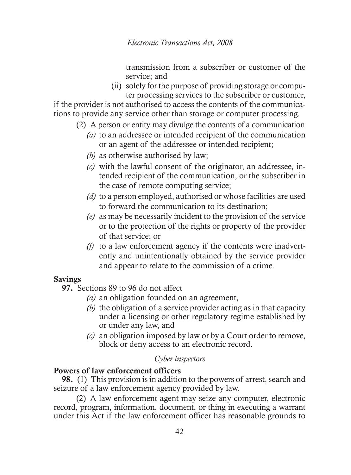transmission from a subscriber or customer of the service; and

(ii) solely for the purpose of providing storage or computer processing services to the subscriber or customer,

if the provider is not authorised to access the contents of the communications to provide any service other than storage or computer processing.

- (2) A person or entity may divulge the contents of a communication
	- *(a)* to an addressee or intended recipient of the communication or an agent of the addressee or intended recipient;
	- *(b)* as otherwise authorised by law;
	- *(c)* with the lawful consent of the originator, an addressee, intended recipient of the communication, or the subscriber in the case of remote computing service;
	- *(d)* to a person employed, authorised or whose facilities are used to forward the communication to its destination;
	- *(e)* as may be necessarily incident to the provision of the service or to the protection of the rights or property of the provider of that service; or
	- *(f)* to a law enforcement agency if the contents were inadvertently and unintentionally obtained by the service provider and appear to relate to the commission of a crime.

## Savings

97. Sections 89 to 96 do not affect

- *(a)* an obligation founded on an agreement,
- *(b)* the obligation of a service provider acting as in that capacity under a licensing or other regulatory regime established by or under any law, and
- *(c)* an obligation imposed by law or by a Court order to remove, block or deny access to an electronic record.

## *Cyber inspectors*

## Powers of law enforcement officers

98. (1) This provision is in addition to the powers of arrest, search and seizure of a law enforcement agency provided by law.

(2) A law enforcement agent may seize any computer, electronic record, program, information, document, or thing in executing a warrant under this Act if the law enforcement officer has reasonable grounds to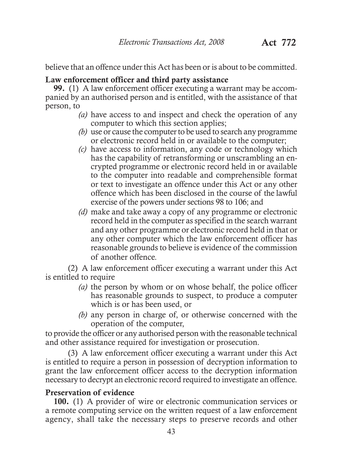believe that an offence under this Act has been or is about to be committed.

## Law enforcement officer and third party assistance

99. (1) A law enforcement officer executing a warrant may be accompanied by an authorised person and is entitled, with the assistance of that person, to

- *(a)* have access to and inspect and check the operation of any computer to which this section applies;
- *(b)* use or cause the computer to be used to search any programme or electronic record held in or available to the computer;
- *(c)* have access to information, any code or technology which has the capability of retransforming or unscrambling an encrypted programme or electronic record held in or available to the computer into readable and comprehensible format or text to investigate an offence under this Act or any other offence which has been disclosed in the course of the lawful exercise of the powers under sections 98 to 106; and
- *(d)* make and take away a copy of any programme or electronic record held in the computer as specified in the search warrant and any other programme or electronic record held in that or any other computer which the law enforcement officer has reasonable grounds to believe is evidence of the commission of another offence.

(2) A law enforcement officer executing a warrant under this Act is entitled to require

- *(a)* the person by whom or on whose behalf, the police officer has reasonable grounds to suspect, to produce a computer which is or has been used, or
- *(b)* any person in charge of, or otherwise concerned with the operation of the computer,

to provide the officer or any authorised person with the reasonable technical and other assistance required for investigation or prosecution.

(3) A law enforcement officer executing a warrant under this Act is entitled to require a person in possession of decryption information to grant the law enforcement officer access to the decryption information necessary to decrypt an electronic record required to investigate an offence.

#### Preservation of evidence

100. (1) A provider of wire or electronic communication services or a remote computing service on the written request of a law enforcement agency, shall take the necessary steps to preserve records and other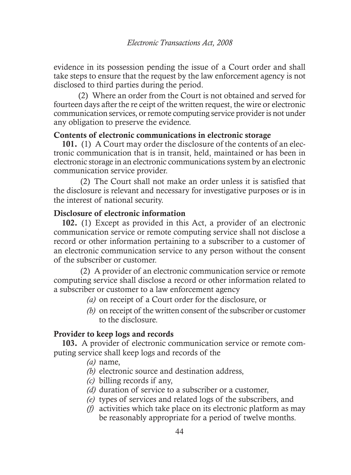evidence in its possession pending the issue of a Court order and shall take steps to ensure that the request by the law enforcement agency is not disclosed to third parties during the period.

(2) Where an order from the Court is not obtained and served for fourteen days after the re ceipt of the written request, the wire or electronic communication services, or remote computing service provider is not under any obligation to preserve the evidence.

#### Contents of electronic communications in electronic storage

101. (1) A Court may order the disclosure of the contents of an electronic communication that is in transit, held, maintained or has been in electronic storage in an electronic communications system by an electronic communication service provider.

(2) The Court shall not make an order unless it is satisfied that the disclosure is relevant and necessary for investigative purposes or is in the interest of national security.

### Disclosure of electronic information

102. (1) Except as provided in this Act, a provider of an electronic communication service or remote computing service shall not disclose a record or other information pertaining to a subscriber to a customer of an electronic communication service to any person without the consent of the subscriber or customer.

(2) A provider of an electronic communication service or remote computing service shall disclose a record or other information related to a subscriber or customer to a law enforcement agency

- *(a)* on receipt of a Court order for the disclosure, or
- *(b)* on receipt of the written consent of the subscriber or customer to the disclosure.

## Provider to keep logs and records

103. A provider of electronic communication service or remote computing service shall keep logs and records of the

- *(a)* name,
- *(b)* electronic source and destination address,
- *(c)* billing records if any,
- *(d)* duration of service to a subscriber or a customer,
- *(e)* types of services and related logs of the subscribers, and
- *(f)* activities which take place on its electronic platform as may be reasonably appropriate for a period of twelve months.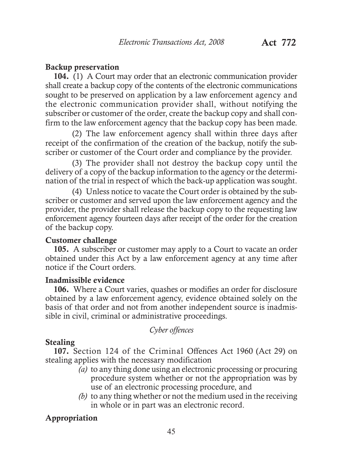#### Backup preservation

104. (1) A Court may order that an electronic communication provider shall create a backup copy of the contents of the electronic communications sought to be preserved on application by a law enforcement agency and the electronic communication provider shall, without notifying the subscriber or customer of the order, create the backup copy and shall confirm to the law enforcement agency that the backup copy has been made.

(2) The law enforcement agency shall within three days after receipt of the confirmation of the creation of the backup, notify the subscriber or customer of the Court order and compliance by the provider.

(3) The provider shall not destroy the backup copy until the delivery of a copy of the backup information to the agency or the determination of the trial in respect of which the back-up application was sought.

(4) Unless notice to vacate the Court order is obtained by the subscriber or customer and served upon the law enforcement agency and the provider, the provider shall release the backup copy to the requesting law enforcement agency fourteen days after receipt of the order for the creation of the backup copy.

## Customer challenge

105. A subscriber or customer may apply to a Court to vacate an order obtained under this Act by a law enforcement agency at any time after notice if the Court orders.

#### Inadmissible evidence

106. Where a Court varies, quashes or modifies an order for disclosure obtained by a law enforcement agency, evidence obtained solely on the basis of that order and not from another independent source is inadmissible in civil, criminal or administrative proceedings.

*Cyber offences*

#### **Stealing**

107. Section 124 of the Criminal Offences Act 1960 (Act 29) on stealing applies with the necessary modification

- *(a)* to any thing done using an electronic processing or procuring procedure system whether or not the appropriation was by use of an electronic processing procedure, and
- *(b)* to any thing whether or not the medium used in the receiving in whole or in part was an electronic record.

#### Appropriation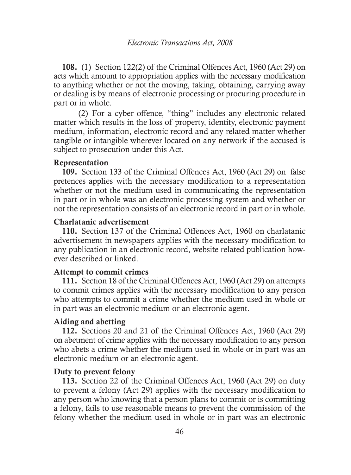108. (1) Section 122(2) of the Criminal Offences Act, 1960 (Act 29) on acts which amount to appropriation applies with the necessary modification to anything whether or not the moving, taking, obtaining, carrying away or dealing is by means of electronic processing or procuring procedure in part or in whole.

(2) For a cyber offence, "thing" includes any electronic related matter which results in the loss of property, identity, electronic payment medium, information, electronic record and any related matter whether tangible or intangible wherever located on any network if the accused is subject to prosecution under this Act.

#### Representation

109. Section 133 of the Criminal Offences Act, 1960 (Act 29) on false pretences applies with the necessary modification to a representation whether or not the medium used in communicating the representation in part or in whole was an electronic processing system and whether or not the representation consists of an electronic record in part or in whole.

## Charlatanic advertisement

110. Section 137 of the Criminal Offences Act, 1960 on charlatanic advertisement in newspapers applies with the necessary modification to any publication in an electronic record, website related publication however described or linked.

## Attempt to commit crimes

111. Section 18 of the Criminal Offences Act, 1960 (Act 29) on attempts to commit crimes applies with the necessary modification to any person who attempts to commit a crime whether the medium used in whole or in part was an electronic medium or an electronic agent.

#### Aiding and abetting

112. Sections 20 and 21 of the Criminal Offences Act, 1960 (Act 29) on abetment of crime applies with the necessary modification to any person who abets a crime whether the medium used in whole or in part was an electronic medium or an electronic agent.

#### Duty to prevent felony

113. Section 22 of the Criminal Offences Act, 1960 (Act 29) on duty to prevent a felony (Act 29) applies with the necessary modification to any person who knowing that a person plans to commit or is committing a felony, fails to use reasonable means to prevent the commission of the felony whether the medium used in whole or in part was an electronic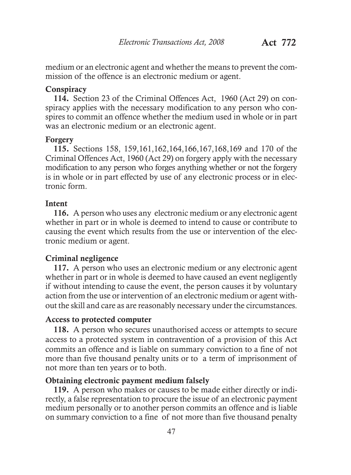medium or an electronic agent and whether the means to prevent the commission of the offence is an electronic medium or agent.

#### **Conspiracy**

114. Section 23 of the Criminal Offences Act, 1960 (Act 29) on conspiracy applies with the necessary modification to any person who conspires to commit an offence whether the medium used in whole or in part was an electronic medium or an electronic agent.

#### Forgery

115. Sections 158, 159,161,162,164,166,167,168,169 and 170 of the Criminal Offences Act, 1960 (Act 29) on forgery apply with the necessary modification to any person who forges anything whether or not the forgery is in whole or in part effected by use of any electronic process or in electronic form.

## Intent

116. A person who uses any electronic medium or any electronic agent whether in part or in whole is deemed to intend to cause or contribute to causing the event which results from the use or intervention of the electronic medium or agent.

## Criminal negligence

117. A person who uses an electronic medium or any electronic agent whether in part or in whole is deemed to have caused an event negligently if without intending to cause the event, the person causes it by voluntary action from the use or intervention of an electronic medium or agent without the skill and care as are reasonably necessary under the circumstances.

## Access to protected computer

118. A person who secures unauthorised access or attempts to secure access to a protected system in contravention of a provision of this Act commits an offence and is liable on summary conviction to a fine of not more than five thousand penalty units or to a term of imprisonment of not more than ten years or to both.

## Obtaining electronic payment medium falsely

119. A person who makes or causes to be made either directly or indirectly, a false representation to procure the issue of an electronic payment medium personally or to another person commits an offence and is liable on summary conviction to a fine of not more than five thousand penalty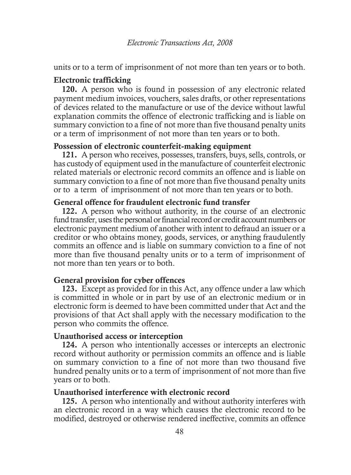units or to a term of imprisonment of not more than ten years or to both.

#### Electronic trafficking

120. A person who is found in possession of any electronic related payment medium invoices, vouchers, sales drafts, or other representations of devices related to the manufacture or use of the device without lawful explanation commits the offence of electronic trafficking and is liable on summary conviction to a fine of not more than five thousand penalty units or a term of imprisonment of not more than ten years or to both.

#### Possession of electronic counterfeit-making equipment

121. A person who receives, possesses, transfers, buys, sells, controls, or has custody of equipment used in the manufacture of counterfeit electronic related materials or electronic record commits an offence and is liable on summary conviction to a fine of not more than five thousand penalty units or to a term of imprisonment of not more than ten years or to both.

### General offence for fraudulent electronic fund transfer

122. A person who without authority, in the course of an electronic fund transfer, uses the personal or financial record or credit account numbers or electronic payment medium of another with intent to defraud an issuer or a creditor or who obtains money, goods, services, or anything fraudulently commits an offence and is liable on summary conviction to a fine of not more than five thousand penalty units or to a term of imprisonment of not more than ten years or to both.

#### General provision for cyber offences

123. Except as provided for in this Act, any offence under a law which is committed in whole or in part by use of an electronic medium or in electronic form is deemed to have been committed under that Act and the provisions of that Act shall apply with the necessary modification to the person who commits the offence.

#### Unauthorised access or interception

124. A person who intentionally accesses or intercepts an electronic record without authority or permission commits an offence and is liable on summary conviction to a fine of not more than two thousand five hundred penalty units or to a term of imprisonment of not more than five years or to both.

#### Unauthorised interference with electronic record

125. A person who intentionally and without authority interferes with an electronic record in a way which causes the electronic record to be modified, destroyed or otherwise rendered ineffective, commits an offence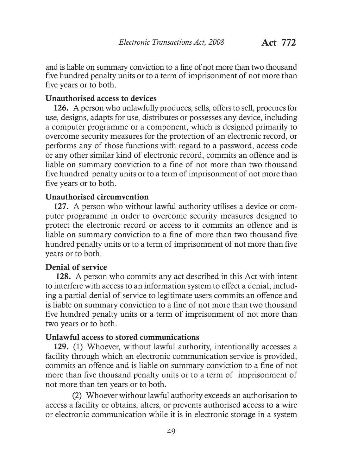and is liable on summary conviction to a fine of not more than two thousand five hundred penalty units or to a term of imprisonment of not more than five years or to both.

## Unauthorised access to devices

126. A person who unlawfully produces, sells, offers to sell, procures for use, designs, adapts for use, distributes or possesses any device, including a computer programme or a component, which is designed primarily to overcome security measures for the protection of an electronic record, or performs any of those functions with regard to a password, access code or any other similar kind of electronic record, commits an offence and is liable on summary conviction to a fine of not more than two thousand five hundred penalty units or to a term of imprisonment of not more than five years or to both.

#### Unauthorised circumvention

127. A person who without lawful authority utilises a device or computer programme in order to overcome security measures designed to protect the electronic record or access to it commits an offence and is liable on summary conviction to a fine of more than two thousand five hundred penalty units or to a term of imprisonment of not more than five years or to both.

#### Denial of service

128. A person who commits any act described in this Act with intent to interfere with access to an information system to effect a denial, including a partial denial of service to legitimate users commits an offence and is liable on summary conviction to a fine of not more than two thousand five hundred penalty units or a term of imprisonment of not more than two years or to both.

#### Unlawful access to stored communications

129. (1) Whoever, without lawful authority, intentionally accesses a facility through which an electronic communication service is provided, commits an offence and is liable on summary conviction to a fine of not more than five thousand penalty units or to a term of imprisonment of not more than ten years or to both.

(2) Whoever without lawful authority exceeds an authorisation to access a facility or obtains, alters, or prevents authorised access to a wire or electronic communication while it is in electronic storage in a system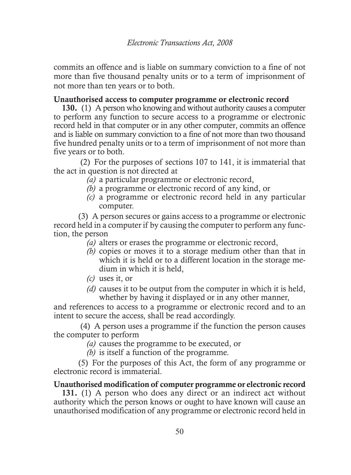commits an offence and is liable on summary conviction to a fine of not more than five thousand penalty units or to a term of imprisonment of not more than ten years or to both.

## Unauthorised access to computer programme or electronic record

130. (1) A person who knowing and without authority causes a computer to perform any function to secure access to a programme or electronic record held in that computer or in any other computer, commits an offence and is liable on summary conviction to a fine of not more than two thousand five hundred penalty units or to a term of imprisonment of not more than five years or to both.

(2) For the purposes of sections 107 to 141, it is immaterial that the act in question is not directed at

- *(a)* a particular programme or electronic record,
- *(b)* a programme or electronic record of any kind, or
- *(c)* a programme or electronic record held in any particular computer.

(3) A person secures or gains access to a programme or electronic record held in a computer if by causing the computer to perform any function, the person

- *(a)* alters or erases the programme or electronic record,
- *(b)* copies or moves it to a storage medium other than that in which it is held or to a different location in the storage medium in which it is held,
- *(c)* uses it, or
- *(d)* causes it to be output from the computer in which it is held, whether by having it displayed or in any other manner,

and references to access to a programme or electronic record and to an intent to secure the access, shall be read accordingly.

(4) A person uses a programme if the function the person causes the computer to perform

*(a)* causes the programme to be executed, or

*(b)* is itself a function of the programme.

(5) For the purposes of this Act, the form of any programme or electronic record is immaterial.

## Unauthorised modification of computer programme or electronic record

131. (1) A person who does any direct or an indirect act without authority which the person knows or ought to have known will cause an unauthorised modification of any programme or electronic record held in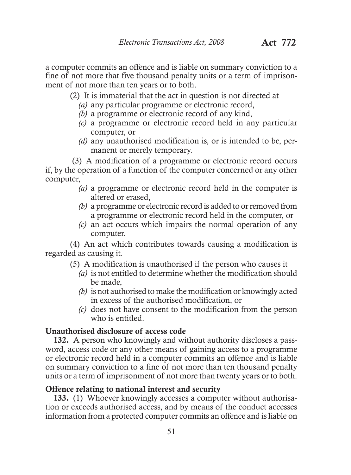a computer commits an offence and is liable on summary conviction to a fine of not more that five thousand penalty units or a term of imprisonment of not more than ten years or to both.

- (2) It is immaterial that the act in question is not directed at
	- *(a)* any particular programme or electronic record,
	- *(b)* a programme or electronic record of any kind,
	- *(c)* a programme or electronic record held in any particular computer, or
	- *(d)* any unauthorised modification is, or is intended to be, permanent or merely temporary.

(3) A modification of a programme or electronic record occurs if, by the operation of a function of the computer concerned or any other computer,

- *(a)* a programme or electronic record held in the computer is altered or erased,
- *(b)* a programme or electronic record is added to or removed from a programme or electronic record held in the computer, or
- *(c)* an act occurs which impairs the normal operation of any computer.

(4) An act which contributes towards causing a modification is regarded as causing it.

- (5) A modification is unauthorised if the person who causes it
	- *(a)* is not entitled to determine whether the modification should be made,
	- *(b)* is not authorised to make the modification or knowingly acted in excess of the authorised modification, or
	- *(c)* does not have consent to the modification from the person who is entitled.

## Unauthorised disclosure of access code

132. A person who knowingly and without authority discloses a password, access code or any other means of gaining access to a programme or electronic record held in a computer commits an offence and is liable on summary conviction to a fine of not more than ten thousand penalty units or a term of imprisonment of not more than twenty years or to both.

## Offence relating to national interest and security

133. (1) Whoever knowingly accesses a computer without authorisation or exceeds authorised access, and by means of the conduct accesses information from a protected computer commits an offence and is liable on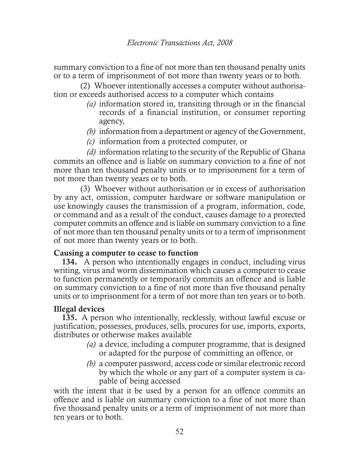summary conviction to a fine of not more than ten thousand penalty units or to a term of imprisonment of not more than twenty years or to both.

(2) Whoever intentionally accesses a computer without authorisation or exceeds authorised access to a computer which contains

- *(a)* information stored in, transiting through or in the financial records of a financial institution, or consumer reporting agency,
- *(b)* information from a department or agency of the Government,
- *(c)* information from a protected computer, or

*(d)* information relating to the security of the Republic of Ghana commits an offence and is liable on summary conviction to a fine of not more than ten thousand penalty units or to imprisonment for a term of not more than twenty years or to both.

(3) Whoever without authorisation or in excess of authorisation by any act, omission, computer hardware or software manipulation or use knowingly causes the transmission of a program, information, code, or command and as a result of the conduct, causes damage to a protected computer commits an offence and is liable on summary conviction to a fine of not more than ten thousand penalty units or to a term of imprisonment of not more than twenty years or to both.

## Causing a computer to cease to function

134. A person who intentionally engages in conduct, including virus writing, virus and worm dissemination which causes a computer to cease to function permanently or temporarily commits an offence and is liable on summary conviction to a fine of not more than five thousand penalty units or to imprisonment for a term of not more than ten years or to both.

## Illegal devices

135. A person who intentionally, recklessly, without lawful excuse or justification, possesses, produces, sells, procures for use, imports, exports, distributes or otherwise makes available

- *(a)* a device, including a computer programme, that is designed or adapted for the purpose of committing an offence, or
- *(b)* a computer password, access code or similar electronic record by which the whole or any part of a computer system is capable of being accessed

with the intent that it be used by a person for an offence commits an offence and is liable on summary conviction to a fine of not more than five thousand penalty units or a term of imprisonment of not more than ten years or to both.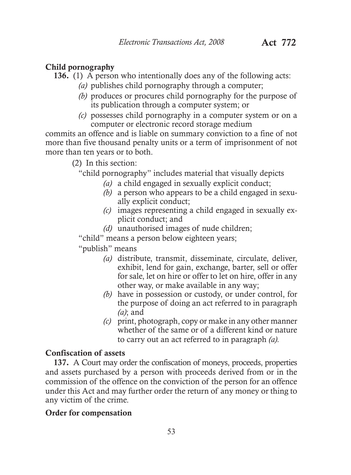## Child pornography

- 136. (1) A person who intentionally does any of the following acts:
	- *(a)* publishes child pornography through a computer;
	- *(b)* produces or procures child pornography for the purpose of its publication through a computer system; or
	- *(c)* possesses child pornography in a computer system or on a computer or electronic record storage medium

commits an offence and is liable on summary conviction to a fine of not more than five thousand penalty units or a term of imprisonment of not more than ten years or to both.

(2) In this section:

"child pornography" includes material that visually depicts

- *(a)* a child engaged in sexually explicit conduct;
- *(b)* a person who appears to be a child engaged in sexually explicit conduct;
- *(c)* images representing a child engaged in sexually explicit conduct; and
- *(d)* unauthorised images of nude children;

"child" means a person below eighteen years;

"publish" means

- *(a)* distribute, transmit, disseminate, circulate, deliver, exhibit, lend for gain, exchange, barter, sell or offer for sale, let on hire or offer to let on hire, offer in any other way, or make available in any way;
- *(b)* have in possession or custody, or under control, for the purpose of doing an act referred to in paragraph *(a)*; and
- *(c)* print, photograph, copy or make in any other manner whether of the same or of a different kind or nature to carry out an act referred to in paragraph *(a).*

### Confiscation of assets

137. A Court may order the confiscation of moneys, proceeds, properties and assets purchased by a person with proceeds derived from or in the commission of the offence on the conviction of the person for an offence under this Act and may further order the return of any money or thing to any victim of the crime.

#### Order for compensation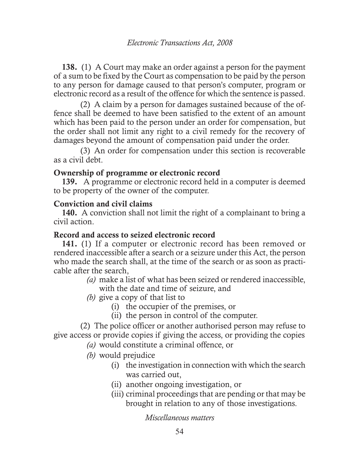138. (1) A Court may make an order against a person for the payment of a sum to be fixed by the Court as compensation to be paid by the person to any person for damage caused to that person's computer, program or electronic record as a result of the offence for which the sentence is passed.

(2) A claim by a person for damages sustained because of the offence shall be deemed to have been satisfied to the extent of an amount which has been paid to the person under an order for compensation, but the order shall not limit any right to a civil remedy for the recovery of damages beyond the amount of compensation paid under the order.

(3) An order for compensation under this section is recoverable as a civil debt.

## Ownership of programme or electronic record

139. A programme or electronic record held in a computer is deemed to be property of the owner of the computer.

## Conviction and civil claims

140. A conviction shall not limit the right of a complainant to bring a civil action.

## Record and access to seized electronic record

141. (1) If a computer or electronic record has been removed or rendered inaccessible after a search or a seizure under this Act, the person who made the search shall, at the time of the search or as soon as practicable after the search,

- *(a)* make a list of what has been seized or rendered inaccessible, with the date and time of seizure, and
- *(b)* give a copy of that list to
	- (i) the occupier of the premises, or
	- (ii) the person in control of the computer.

(2) The police officer or another authorised person may refuse to give access or provide copies if giving the access, or providing the copies

- *(a)* would constitute a criminal offence, or
- *(b)* would prejudice
	- (i) the investigation in connection with which the search was carried out,
	- (ii) another ongoing investigation, or
	- (iii) criminal proceedings that are pending or that may be brought in relation to any of those investigations.

## *Miscellaneous matters*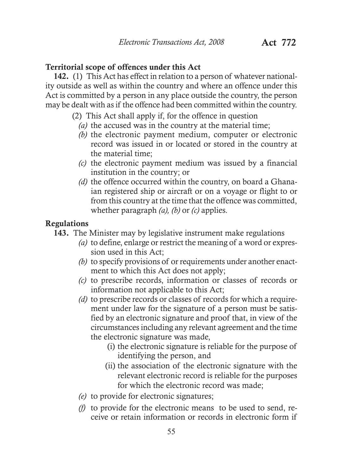## Territorial scope of offences under this Act

142. (1) This Act has effect in relation to a person of whatever nationality outside as well as within the country and where an offence under this Act is committed by a person in any place outside the country, the person may be dealt with as if the offence had been committed within the country.

- (2) This Act shall apply if, for the offence in question
	- *(a)* the accused was in the country at the material time;
	- *(b)* the electronic payment medium, computer or electronic record was issued in or located or stored in the country at the material time;
	- *(c)* the electronic payment medium was issued by a financial institution in the country; or
	- *(d)* the offence occurred within the country, on board a Ghanaian registered ship or aircraft or on a voyage or flight to or from this country at the time that the offence was committed, whether paragraph *(a), (b)* or *(c)* applies.

#### Regulations

143. The Minister may by legislative instrument make regulations

- *(a)* to define, enlarge or restrict the meaning of a word or expression used in this Act;
- *(b)* to specify provisions of or requirements under another enactment to which this Act does not apply;
- *(c)* to prescribe records, information or classes of records or information not applicable to this Act;
- *(d)* to prescribe records or classes of records for which a requirement under law for the signature of a person must be satisfied by an electronic signature and proof that, in view of the circumstances including any relevant agreement and the time the electronic signature was made,
	- (i) the electronic signature is reliable for the purpose of identifying the person, and
	- (ii) the association of the electronic signature with the relevant electronic record is reliable for the purposes for which the electronic record was made;
- *(e)* to provide for electronic signatures;
- *(f)* to provide for the electronic means to be used to send, receive or retain information or records in electronic form if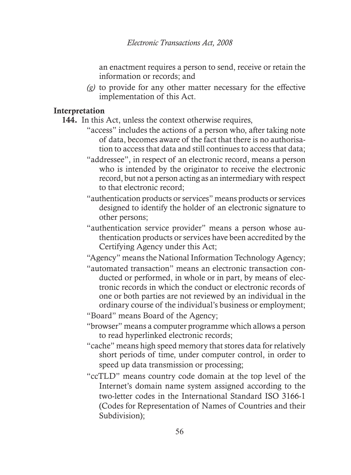an enactment requires a person to send, receive or retain the information or records; and

*(g)* to provide for any other matter necessary for the effective implementation of this Act.

## Interpretation

- 144. In this Act, unless the context otherwise requires,
	- "access" includes the actions of a person who, after taking note of data, becomes aware of the fact that there is no authorisation to access that data and still continues to access that data;
	- "addressee", in respect of an electronic record, means a person who is intended by the originator to receive the electronic record, but not a person acting as an intermediary with respect to that electronic record;
	- "authentication products or services" means products or services designed to identify the holder of an electronic signature to other persons;
	- "authentication service provider" means a person whose authentication products or services have been accredited by the Certifying Agency under this Act;
	- "Agency" means the National Information Technology Agency;
	- "automated transaction" means an electronic transaction conducted or performed, in whole or in part, by means of electronic records in which the conduct or electronic records of one or both parties are not reviewed by an individual in the ordinary course of the individual's business or employment;
	- "Board" means Board of the Agency;
	- "browser" means a computer programme which allows a person to read hyperlinked electronic records;
	- "cache" means high speed memory that stores data for relatively short periods of time, under computer control, in order to speed up data transmission or processing;
	- "ccTLD" means country code domain at the top level of the Internet's domain name system assigned according to the two-letter codes in the International Standard ISO 3166-1 (Codes for Representation of Names of Countries and their Subdivision);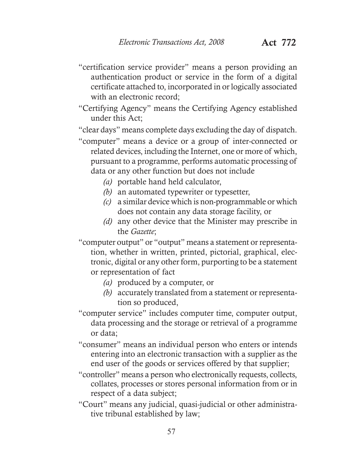- "certification service provider" means a person providing an authentication product or service in the form of a digital certificate attached to, incorporated in or logically associated with an electronic record;
- "Certifying Agency" means the Certifying Agency established under this Act;
- "clear days" means complete days excluding the day of dispatch.
- "computer" means a device or a group of inter-connected or related devices, including the Internet, one or more of which, pursuant to a programme, performs automatic processing of data or any other function but does not include
	- *(a)* portable hand held calculator,
	- *(b)* an automated typewriter or typesetter,
	- *(c)* a similar device which is non-programmable or which does not contain any data storage facility, or
	- *(d)* any other device that the Minister may prescribe in the *Gazette*;

"computer output" or "output" means a statement or representation, whether in written, printed, pictorial, graphical, electronic, digital or any other form, purporting to be a statement or representation of fact

- *(a)* produced by a computer, or
- *(b)* accurately translated from a statement or representation so produced,
- "computer service" includes computer time, computer output, data processing and the storage or retrieval of a programme or data;
- "consumer" means an individual person who enters or intends entering into an electronic transaction with a supplier as the end user of the goods or services offered by that supplier;
- "controller" means a person who electronically requests, collects, collates, processes or stores personal information from or in respect of a data subject;
- "Court" means any judicial, quasi-judicial or other administrative tribunal established by law;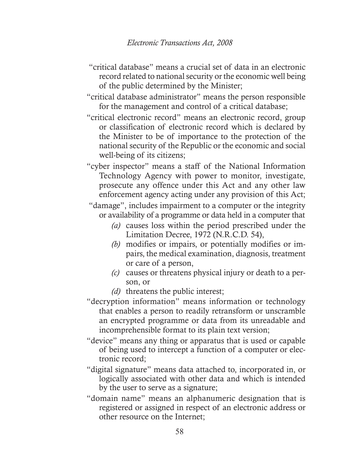- "critical database" means a crucial set of data in an electronic record related to national security or the economic well being of the public determined by the Minister;
- "critical database administrator" means the person responsible for the management and control of a critical database;
- "critical electronic record" means an electronic record, group or classification of electronic record which is declared by the Minister to be of importance to the protection of the national security of the Republic or the economic and social well-being of its citizens;
- "cyber inspector" means a staff of the National Information Technology Agency with power to monitor, investigate, prosecute any offence under this Act and any other law enforcement agency acting under any provision of this Act;

 "damage", includes impairment to a computer or the integrity or availability of a programme or data held in a computer that

- *(a)* causes loss within the period prescribed under the Limitation Decree, 1972 (N.R.C.D. 54),
- *(b)* modifies or impairs, or potentially modifies or impairs, the medical examination, diagnosis, treatment or care of a person,
- *(c)* causes or threatens physical injury or death to a person, or
- *(d)* threatens the public interest;
- "decryption information" means information or technology that enables a person to readily retransform or unscramble an encrypted programme or data from its unreadable and incomprehensible format to its plain text version;
- "device" means any thing or apparatus that is used or capable of being used to intercept a function of a computer or electronic record;
- "digital signature" means data attached to, incorporated in, or logically associated with other data and which is intended by the user to serve as a signature;
- "domain name" means an alphanumeric designation that is registered or assigned in respect of an electronic address or other resource on the Internet;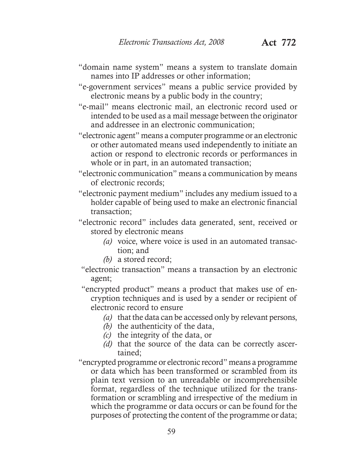- "domain name system" means a system to translate domain names into IP addresses or other information;
- "e-government services" means a public service provided by electronic means by a public body in the country;
- "e-mail" means electronic mail, an electronic record used or intended to be used as a mail message between the originator and addressee in an electronic communication;
- "electronic agent" means a computer programme or an electronic or other automated means used independently to initiate an action or respond to electronic records or performances in whole or in part, in an automated transaction;
- "electronic communication" means a communication by means of electronic records;
- "electronic payment medium" includes any medium issued to a holder capable of being used to make an electronic financial transaction;
- "electronic record" includes data generated, sent, received or stored by electronic means
	- *(a)* voice, where voice is used in an automated transaction; and
	- *(b)* a stored record;
- "electronic transaction" means a transaction by an electronic agent;
- "encrypted product" means a product that makes use of encryption techniques and is used by a sender or recipient of electronic record to ensure
	- *(a)* that the data can be accessed only by relevant persons,
	- *(b)* the authenticity of the data,
	- *(c)* the integrity of the data, or
	- *(d)* that the source of the data can be correctly ascertained;
- "encrypted programme or electronic record" means a programme or data which has been transformed or scrambled from its plain text version to an unreadable or incomprehensible format, regardless of the technique utilized for the transformation or scrambling and irrespective of the medium in which the programme or data occurs or can be found for the purposes of protecting the content of the programme or data;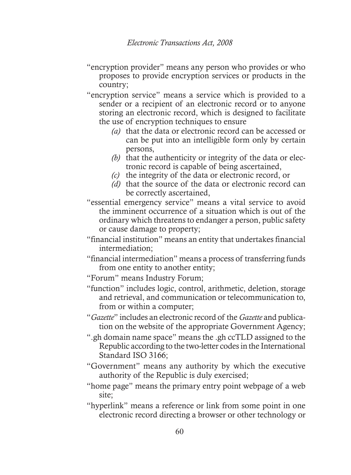- "encryption provider" means any person who provides or who proposes to provide encryption services or products in the country;
- "encryption service" means a service which is provided to a sender or a recipient of an electronic record or to anyone storing an electronic record, which is designed to facilitate the use of encryption techniques to ensure
	- *(a)* that the data or electronic record can be accessed or can be put into an intelligible form only by certain persons,
	- *(b)* that the authenticity or integrity of the data or electronic record is capable of being ascertained,
	- *(c)* the integrity of the data or electronic record, or
	- *(d)* that the source of the data or electronic record can be correctly ascertained,
- "essential emergency service" means a vital service to avoid the imminent occurrence of a situation which is out of the ordinary which threatens to endanger a person, public safety or cause damage to property;

"financial institution" means an entity that undertakes financial intermediation;

"financial intermediation" means a process of transferring funds from one entity to another entity;

- "Forum" means Industry Forum;
- "function" includes logic, control, arithmetic, deletion, storage and retrieval, and communication or telecommunication to, from or within a computer;

"*Gazette*" includes an electronic record of the *Gazette* and publication on the website of the appropriate Government Agency;

".gh domain name space" means the .gh ccTLD assigned to the Republic according to the two-letter codes in the International Standard ISO 3166;

"Government" means any authority by which the executive authority of the Republic is duly exercised;

"home page" means the primary entry point webpage of a web site;

"hyperlink" means a reference or link from some point in one electronic record directing a browser or other technology or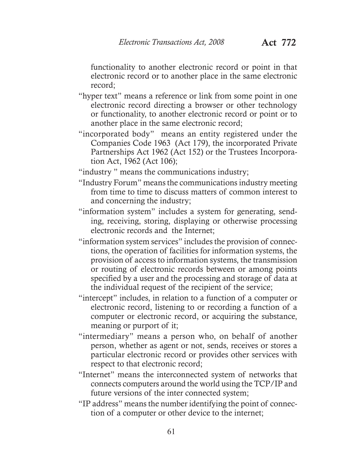functionality to another electronic record or point in that electronic record or to another place in the same electronic record;

- "hyper text" means a reference or link from some point in one electronic record directing a browser or other technology or functionality, to another electronic record or point or to another place in the same electronic record;
- "incorporated body" means an entity registered under the Companies Code 1963 (Act 179), the incorporated Private Partnerships Act 1962 (Act 152) or the Trustees Incorporation Act, 1962 (Act 106);
- "industry " means the communications industry;
- "Industry Forum" means the communications industry meeting from time to time to discuss matters of common interest to and concerning the industry;
- "information system" includes a system for generating, sending, receiving, storing, displaying or otherwise processing electronic records and the Internet;
- "information system services" includes the provision of connections, the operation of facilities for information systems, the provision of access to information systems, the transmission or routing of electronic records between or among points specified by a user and the processing and storage of data at the individual request of the recipient of the service;
- "intercept" includes, in relation to a function of a computer or electronic record, listening to or recording a function of a computer or electronic record, or acquiring the substance, meaning or purport of it;
- "intermediary" means a person who, on behalf of another person, whether as agent or not, sends, receives or stores a particular electronic record or provides other services with respect to that electronic record;
- "Internet" means the interconnected system of networks that connects computers around the world using the TCP/IP and future versions of the inter connected system;
- "IP address" means the number identifying the point of connection of a computer or other device to the internet;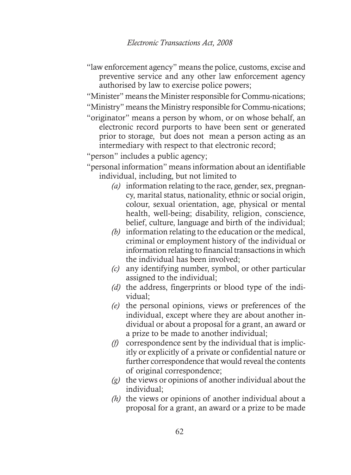"law enforcement agency" means the police, customs, excise and preventive service and any other law enforcement agency authorised by law to exercise police powers;

"Minister" means the Minister responsible for Commu-nications;

"Ministry" means the Ministry responsible for Commu-nications;

- "originator" means a person by whom, or on whose behalf, an electronic record purports to have been sent or generated prior to storage, but does not mean a person acting as an intermediary with respect to that electronic record;
- "person" includes a public agency;

"personal information" means information about an identifiable individual, including, but not limited to

- *(a)* information relating to the race, gender, sex, pregnancy, marital status, nationality, ethnic or social origin, colour, sexual orientation, age, physical or mental health, well-being; disability, religion, conscience, belief, culture, language and birth of the individual;
- *(b)* information relating to the education or the medical, criminal or employment history of the individual or information relating to financial transactions in which the individual has been involved;
- *(c)* any identifying number, symbol, or other particular assigned to the individual;
- *(d)* the address, fingerprints or blood type of the individual;
- *(e)* the personal opinions, views or preferences of the individual, except where they are about another individual or about a proposal for a grant, an award or a prize to be made to another individual;
- *(f)* correspondence sent by the individual that is implicitly or explicitly of a private or confidential nature or further correspondence that would reveal the contents of original correspondence;
- *(g)* the views or opinions of another individual about the individual;
- *(h)* the views or opinions of another individual about a proposal for a grant, an award or a prize to be made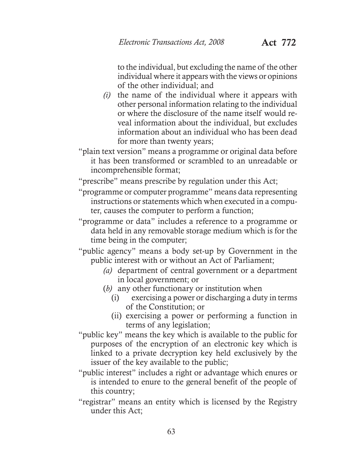to the individual, but excluding the name of the other individual where it appears with the views or opinions of the other individual; and

*(i)* the name of the individual where it appears with other personal information relating to the individual or where the disclosure of the name itself would reveal information about the individual, but excludes information about an individual who has been dead for more than twenty years;

"plain text version" means a programme or original data before it has been transformed or scrambled to an unreadable or incomprehensible format;

"prescribe" means prescribe by regulation under this Act;

- "programme or computer programme" means data representing instructions or statements which when executed in a computer, causes the computer to perform a function;
- "programme or data" includes a reference to a programme or data held in any removable storage medium which is for the time being in the computer;
- "public agency" means a body set-up by Government in the public interest with or without an Act of Parliament;
	- *(a)* department of central government or a department in local government; or
	- (*b)* any other functionary or institution when
		- (i) exercising a power or discharging a duty in terms of the Constitution; or
		- (ii) exercising a power or performing a function in terms of any legislation;
- "public key" means the key which is available to the public for purposes of the encryption of an electronic key which is linked to a private decryption key held exclusively by the issuer of the key available to the public;
- "public interest" includes a right or advantage which enures or is intended to enure to the general benefit of the people of this country;
- "registrar" means an entity which is licensed by the Registry under this Act;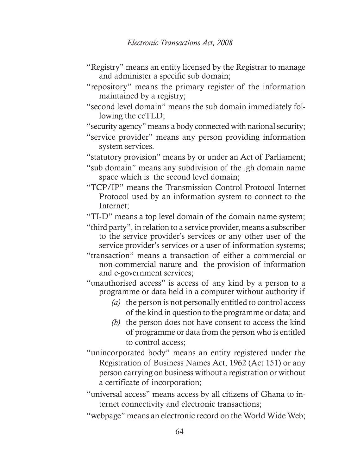- "Registry" means an entity licensed by the Registrar to manage and administer a specific sub domain;
- "repository" means the primary register of the information maintained by a registry;
- "second level domain" means the sub domain immediately following the ccTLD;
- "security agency" means a body connected with national security;
- "service provider" means any person providing information system services.
- "statutory provision" means by or under an Act of Parliament;
- "sub domain" means any subdivision of the .gh domain name space which is the second level domain;
- "TCP/IP" means the Transmission Control Protocol Internet Protocol used by an information system to connect to the Internet;
- "TI-D" means a top level domain of the domain name system;
- "third party", in relation to a service provider, means a subscriber to the service provider's services or any other user of the service provider's services or a user of information systems;
- "transaction" means a transaction of either a commercial or non-commercial nature and the provision of information and e-government services;
- "unauthorised access" is access of any kind by a person to a programme or data held in a computer without authority if
	- *(a)* the person is not personally entitled to control access of the kind in question to the programme or data; and
	- *(b)* the person does not have consent to access the kind of programme or data from the person who is entitled to control access;
- "unincorporated body" means an entity registered under the Registration of Business Names Act, 1962 (Act 151) or any person carrying on business without a registration or without a certificate of incorporation;
- "universal access" means access by all citizens of Ghana to internet connectivity and electronic transactions;
- "webpage" means an electronic record on the World Wide Web;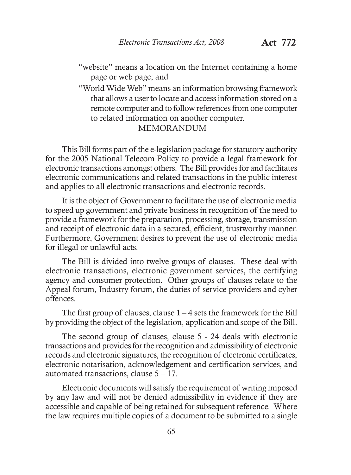- "website" means a location on the Internet containing a home page or web page; and
- "World Wide Web" means an information browsing framework that allows a user to locate and access information stored on a remote computer and to follow references from one computer to related information on another computer.

#### MEMORANDUM

This Bill forms part of the e-legislation package for statutory authority for the 2005 National Telecom Policy to provide a legal framework for electronic transactions amongst others. The Bill provides for and facilitates electronic communications and related transactions in the public interest and applies to all electronic transactions and electronic records.

It is the object of Government to facilitate the use of electronic media to speed up government and private business in recognition of the need to provide a framework for the preparation, processing, storage, transmission and receipt of electronic data in a secured, efficient, trustworthy manner. Furthermore, Government desires to prevent the use of electronic media for illegal or unlawful acts.

The Bill is divided into twelve groups of clauses. These deal with electronic transactions, electronic government services, the certifying agency and consumer protection. Other groups of clauses relate to the Appeal forum, Industry forum, the duties of service providers and cyber offences.

The first group of clauses, clause  $1 - 4$  sets the framework for the Bill by providing the object of the legislation, application and scope of the Bill.

The second group of clauses, clause 5 - 24 deals with electronic transactions and provides for the recognition and admissibility of electronic records and electronic signatures, the recognition of electronic certificates, electronic notarisation, acknowledgement and certification services, and automated transactions, clause  $5 - 17$ .

Electronic documents will satisfy the requirement of writing imposed by any law and will not be denied admissibility in evidence if they are accessible and capable of being retained for subsequent reference. Where the law requires multiple copies of a document to be submitted to a single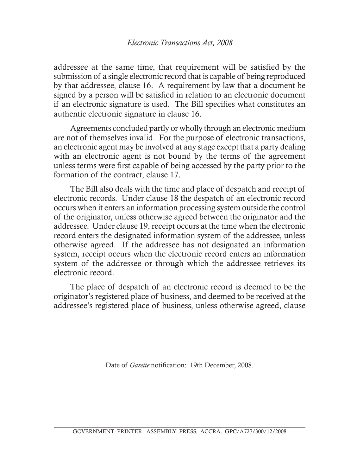addressee at the same time, that requirement will be satisfied by the submission of a single electronic record that is capable of being reproduced by that addressee, clause 16. A requirement by law that a document be signed by a person will be satisfied in relation to an electronic document if an electronic signature is used. The Bill specifies what constitutes an authentic electronic signature in clause 16.

Agreements concluded partly or wholly through an electronic medium are not of themselves invalid. For the purpose of electronic transactions, an electronic agent may be involved at any stage except that a party dealing with an electronic agent is not bound by the terms of the agreement unless terms were first capable of being accessed by the party prior to the formation of the contract, clause 17.

The Bill also deals with the time and place of despatch and receipt of electronic records. Under clause 18 the despatch of an electronic record occurs when it enters an information processing system outside the control of the originator, unless otherwise agreed between the originator and the addressee. Under clause 19, receipt occurs at the time when the electronic record enters the designated information system of the addressee, unless otherwise agreed. If the addressee has not designated an information system, receipt occurs when the electronic record enters an information system of the addressee or through which the addressee retrieves its electronic record.

The place of despatch of an electronic record is deemed to be the originator's registered place of business, and deemed to be received at the addressee's registered place of business, unless otherwise agreed, clause

Date of *Gazette* notification: 19th December, 2008.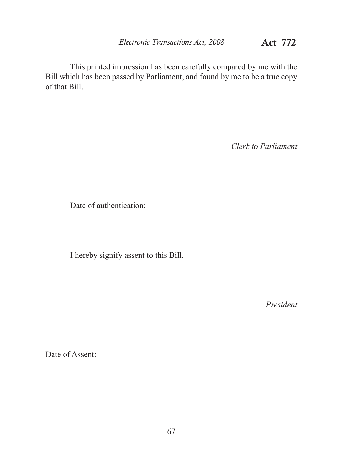*Electronic Transactions Act, 2008* Act 772

This printed impression has been carefully compared by me with the Bill which has been passed by Parliament, and found by me to be a true copy of that Bill.

*Clerk to Parliament*

Date of authentication:

I hereby signify assent to this Bill.

*President*

Date of Assent: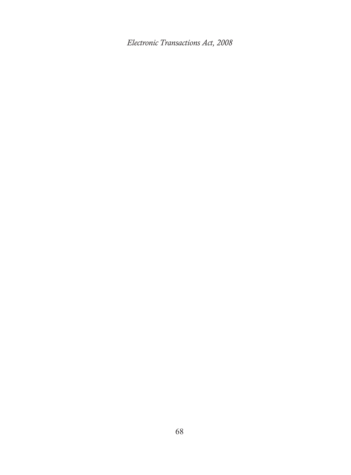*Electronic Transactions Act, 2008*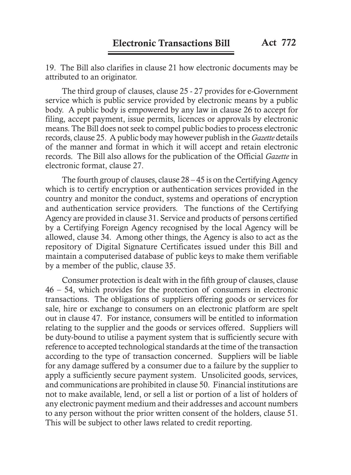19. The Bill also clarifies in clause 21 how electronic documents may be attributed to an originator.

The third group of clauses, clause 25 - 27 provides for e-Government service which is public service provided by electronic means by a public body. A public body is empowered by any law in clause 26 to accept for filing, accept payment, issue permits, licences or approvals by electronic means. The Bill does not seek to compel public bodies to process electronic records, clause 25. A public body may however publish in the *Gazette* details of the manner and format in which it will accept and retain electronic records. The Bill also allows for the publication of the Official *Gazette* in electronic format, clause 27.

The fourth group of clauses, clause  $28 - 45$  is on the Certifying Agency which is to certify encryption or authentication services provided in the country and monitor the conduct, systems and operations of encryption and authentication service providers. The functions of the Certifying Agency are provided in clause 31. Service and products of persons certified by a Certifying Foreign Agency recognised by the local Agency will be allowed, clause 34. Among other things, the Agency is also to act as the repository of Digital Signature Certificates issued under this Bill and maintain a computerised database of public keys to make them verifiable by a member of the public, clause 35.

Consumer protection is dealt with in the fifth group of clauses, clause 46 – 54, which provides for the protection of consumers in electronic transactions. The obligations of suppliers offering goods or services for sale, hire or exchange to consumers on an electronic platform are spelt out in clause 47. For instance, consumers will be entitled to information relating to the supplier and the goods or services offered. Suppliers will be duty-bound to utilise a payment system that is sufficiently secure with reference to accepted technological standards at the time of the transaction according to the type of transaction concerned. Suppliers will be liable for any damage suffered by a consumer due to a failure by the supplier to apply a sufficiently secure payment system. Unsolicited goods, services, and communications are prohibited in clause 50. Financial institutions are not to make available, lend, or sell a list or portion of a list of holders of any electronic payment medium and their addresses and account numbers to any person without the prior written consent of the holders, clause 51. This will be subject to other laws related to credit reporting.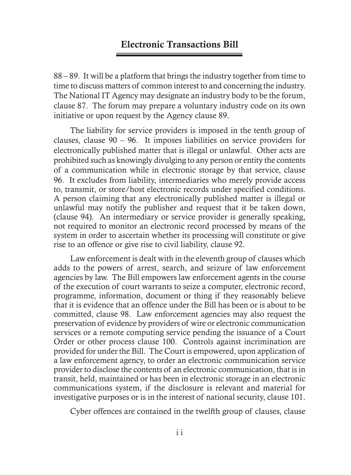# **Electronic Transactions Bill**

88 – 89. It will be a platform that brings the industry together from time to time to discuss matters of common interest to and concerning the industry. The National IT Agency may designate an industry body to be the forum, clause 87. The forum may prepare a voluntary industry code on its own initiative or upon request by the Agency clause 89.

The liability for service providers is imposed in the tenth group of clauses, clause 90 – 96. It imposes liabilities on service providers for electronically published matter that is illegal or unlawful. Other acts are prohibited such as knowingly divulging to any person or entity the contents of a communication while in electronic storage by that service, clause 96. It excludes from liability, intermediaries who merely provide access to, transmit, or store/host electronic records under specified conditions. A person claiming that any electronically published matter is illegal or unlawful may notify the publisher and request that it be taken down, (clause 94). An intermediary or service provider is generally speaking, not required to monitor an electronic record processed by means of the system in order to ascertain whether its processing will constitute or give rise to an offence or give rise to civil liability, clause 92.

Law enforcement is dealt with in the eleventh group of clauses which adds to the powers of arrest, search, and seizure of law enforcement agencies by law. The Bill empowers law enforcement agents in the course of the execution of court warrants to seize a computer, electronic record, programme, information, document or thing if they reasonably believe that it is evidence that an offence under the Bill has been or is about to be committed, clause 98. Law enforcement agencies may also request the preservation of evidence by providers of wire or electronic communication services or a remote computing service pending the issuance of a Court Order or other process clause 100. Controls against incrimination are provided for under the Bill. The Court is empowered, upon application of a law enforcement agency, to order an electronic communication service provider to disclose the contents of an electronic communication, that is in transit, held, maintained or has been in electronic storage in an electronic communications system, if the disclosure is relevant and material for investigative purposes or is in the interest of national security, clause 101.

Cyber offences are contained in the twelfth group of clauses, clause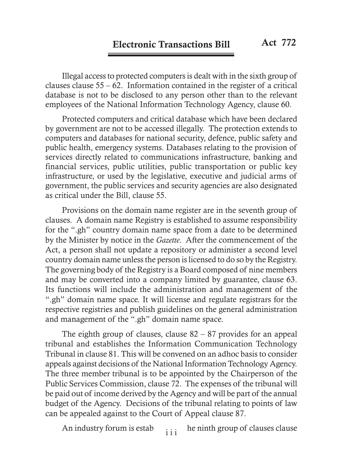Illegal access to protected computers is dealt with in the sixth group of clauses clause  $55 - 62$ . Information contained in the register of a critical database is not to be disclosed to any person other than to the relevant employees of the National Information Technology Agency, clause 60.

Protected computers and critical database which have been declared by government are not to be accessed illegally. The protection extends to computers and databases for national security, defence, public safety and public health, emergency systems. Databases relating to the provision of services directly related to communications infrastructure, banking and financial services, public utilities, public transportation or public key infrastructure, or used by the legislative, executive and judicial arms of government, the public services and security agencies are also designated as critical under the Bill, clause 55.

Provisions on the domain name register are in the seventh group of clauses. A domain name Registry is established to assume responsibility for the ".gh" country domain name space from a date to be determined by the Minister by notice in the *Gazette.* After the commencement of the Act, a person shall not update a repository or administer a second level country domain name unless the person is licensed to do so by the Registry. The governing body of the Registry is a Board composed of nine members and may be converted into a company limited by guarantee, clause 63. Its functions will include the administration and management of the ".gh" domain name space. It will license and regulate registrars for the respective registries and publish guidelines on the general administration and management of the ".gh" domain name space.

The eighth group of clauses, clause  $82 - 87$  provides for an appeal tribunal and establishes the Information Communication Technology Tribunal in clause 81. This will be convened on an adhoc basis to consider appeals against decisions of the National Information Technology Agency. The three member tribunal is to be appointed by the Chairperson of the Public Services Commission, clause 72. The expenses of the tribunal will be paid out of income derived by the Agency and will be part of the annual budget of the Agency. Decisions of the tribunal relating to points of law can be appealed against to the Court of Appeal clause 87.

 $i i i$ An industry forum is estabetic in the ninth group of clauses clause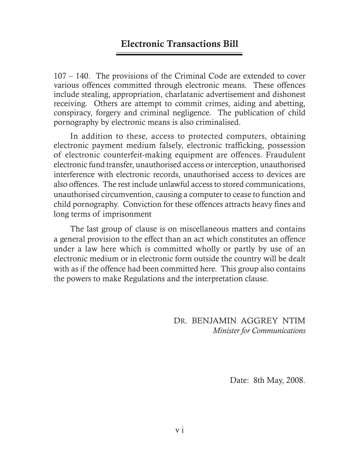# **Electronic Transactions Bill**

107 – 140. The provisions of the Criminal Code are extended to cover various offences committed through electronic means. These offences include stealing, appropriation, charlatanic advertisement and dishonest receiving. Others are attempt to commit crimes, aiding and abetting, conspiracy, forgery and criminal negligence. The publication of child pornography by electronic means is also criminalised.

In addition to these, access to protected computers, obtaining electronic payment medium falsely, electronic trafficking, possession of electronic counterfeit-making equipment are offences. Fraudulent electronic fund transfer, unauthorised access or interception, unauthorised interference with electronic records, unauthorised access to devices are also offences. The rest include unlawful access to stored communications, unauthorised circumvention, causing a computer to cease to function and child pornography. Conviction for these offences attracts heavy fines and long terms of imprisonment

The last group of clause is on miscellaneous matters and contains a general provision to the effect than an act which constitutes an offence under a law here which is committed wholly or partly by use of an electronic medium or in electronic form outside the country will be dealt with as if the offence had been committed here. This group also contains the powers to make Regulations and the interpretation clause.

> DR. BENJAMIN AGGREY NTIM *Minister for Communications*

> > Date: 8th May, 2008.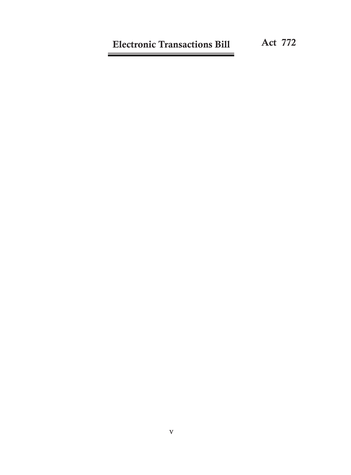## *Electronic Transactions Act, 2008* Act 772 Electronic Transactions Bill

Ξ